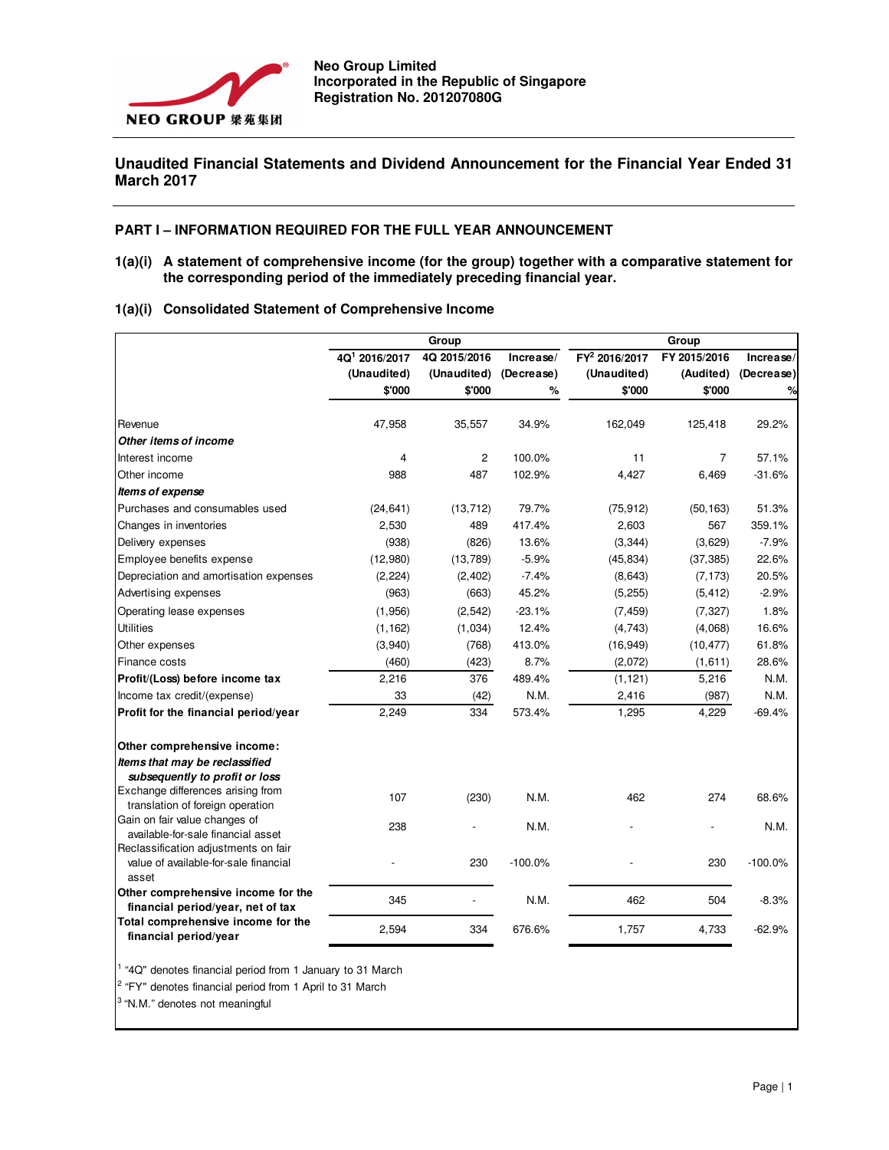

# **Unaudited Financial Statements and Dividend Announcement for the Financial Year Ended 31 March 2017**

#### **PART I – INFORMATION REQUIRED FOR THE FULL YEAR ANNOUNCEMENT**

**1(a)(i) A statement of comprehensive income (for the group) together with a comparative statement for the corresponding period of the immediately preceding financial year.** 

|  |  |  |  | 1(a)(i) Consolidated Statement of Comprehensive Income |
|--|--|--|--|--------------------------------------------------------|
|--|--|--|--|--------------------------------------------------------|

|                                                                         | Group                     |              |            | Group                       |              |            |  |  |
|-------------------------------------------------------------------------|---------------------------|--------------|------------|-----------------------------|--------------|------------|--|--|
|                                                                         | 4Q <sup>1</sup> 2016/2017 | 4Q 2015/2016 | Increase/  | $\overline{FY^2}$ 2016/2017 | FY 2015/2016 | Increase/  |  |  |
|                                                                         | (Unaudited)               | (Unaudited)  | (Decrease) | (Unaudited)                 | (Audited)    | (Decrease) |  |  |
|                                                                         | \$'000                    | \$'000       | %          | \$'000                      | \$'000       | ℅          |  |  |
| Revenue                                                                 | 47,958                    | 35,557       | 34.9%      | 162,049                     | 125,418      | 29.2%      |  |  |
| Other items of income                                                   |                           |              |            |                             |              |            |  |  |
| Interest income                                                         | 4                         | 2            | 100.0%     | 11                          | 7            | 57.1%      |  |  |
| Other income                                                            | 988                       | 487          | 102.9%     | 4,427                       | 6,469        | $-31.6%$   |  |  |
| Items of expense                                                        |                           |              |            |                             |              |            |  |  |
| Purchases and consumables used                                          | (24, 641)                 | (13, 712)    | 79.7%      | (75, 912)                   | (50, 163)    | 51.3%      |  |  |
| Changes in inventories                                                  | 2,530                     | 489          | 417.4%     | 2,603                       | 567          | 359.1%     |  |  |
| Delivery expenses                                                       | (938)                     | (826)        | 13.6%      | (3, 344)                    | (3,629)      | $-7.9%$    |  |  |
| Employee benefits expense                                               | (12,980)                  | (13, 789)    | $-5.9%$    | (45, 834)                   | (37, 385)    | 22.6%      |  |  |
| Depreciation and amortisation expenses                                  | (2, 224)                  | (2, 402)     | $-7.4%$    | (8,643)                     | (7, 173)     | 20.5%      |  |  |
| Advertising expenses                                                    | (963)                     | (663)        | 45.2%      | (5, 255)                    | (5, 412)     | $-2.9%$    |  |  |
| Operating lease expenses                                                | (1,956)                   | (2, 542)     | $-23.1%$   | (7, 459)                    | (7, 327)     | 1.8%       |  |  |
| <b>Utilities</b>                                                        | (1, 162)                  | (1,034)      | 12.4%      | (4,743)                     | (4,068)      | 16.6%      |  |  |
| Other expenses                                                          | (3,940)                   | (768)        | 413.0%     | (16, 949)                   | (10, 477)    | 61.8%      |  |  |
| Finance costs                                                           | (460)                     | (423)        | 8.7%       | (2,072)                     | (1,611)      | 28.6%      |  |  |
| Profit/(Loss) before income tax                                         | 2,216                     | 376          | 489.4%     | (1, 121)                    | 5,216        | N.M.       |  |  |
| Income tax credit/(expense)                                             | 33                        | (42)         | N.M.       | 2,416                       | (987)        | N.M.       |  |  |
| Profit for the financial period/year                                    | 2,249                     | 334          | 573.4%     | 1,295                       | 4,229        | $-69.4%$   |  |  |
| Other comprehensive income:                                             |                           |              |            |                             |              |            |  |  |
| Items that may be reclassified                                          |                           |              |            |                             |              |            |  |  |
| subsequently to profit or loss                                          |                           |              |            |                             |              |            |  |  |
| Exchange differences arising from                                       | 107                       | (230)        | N.M.       | 462                         | 274          | 68.6%      |  |  |
| translation of foreign operation                                        |                           |              |            |                             |              |            |  |  |
| Gain on fair value changes of<br>available-for-sale financial asset     | 238                       |              | N.M.       |                             |              | N.M.       |  |  |
| Reclassification adjustments on fair                                    |                           |              |            |                             |              |            |  |  |
| value of available-for-sale financial<br>asset                          |                           | 230          | $-100.0%$  |                             | 230          | $-100.0%$  |  |  |
| Other comprehensive income for the<br>financial period/year, net of tax | 345                       |              | N.M.       | 462                         | 504          | $-8.3%$    |  |  |
| Total comprehensive income for the<br>financial period/year             | 2,594                     | 334          | 676.6%     | 1,757                       | 4,733        | $-62.9%$   |  |  |

<sup>1</sup> "4Q" denotes financial period from 1 January to 31 March

<sup>2</sup> "FY" denotes financial period from 1 April to 31 March

<sup>3</sup>"N.M." denotes not meaningful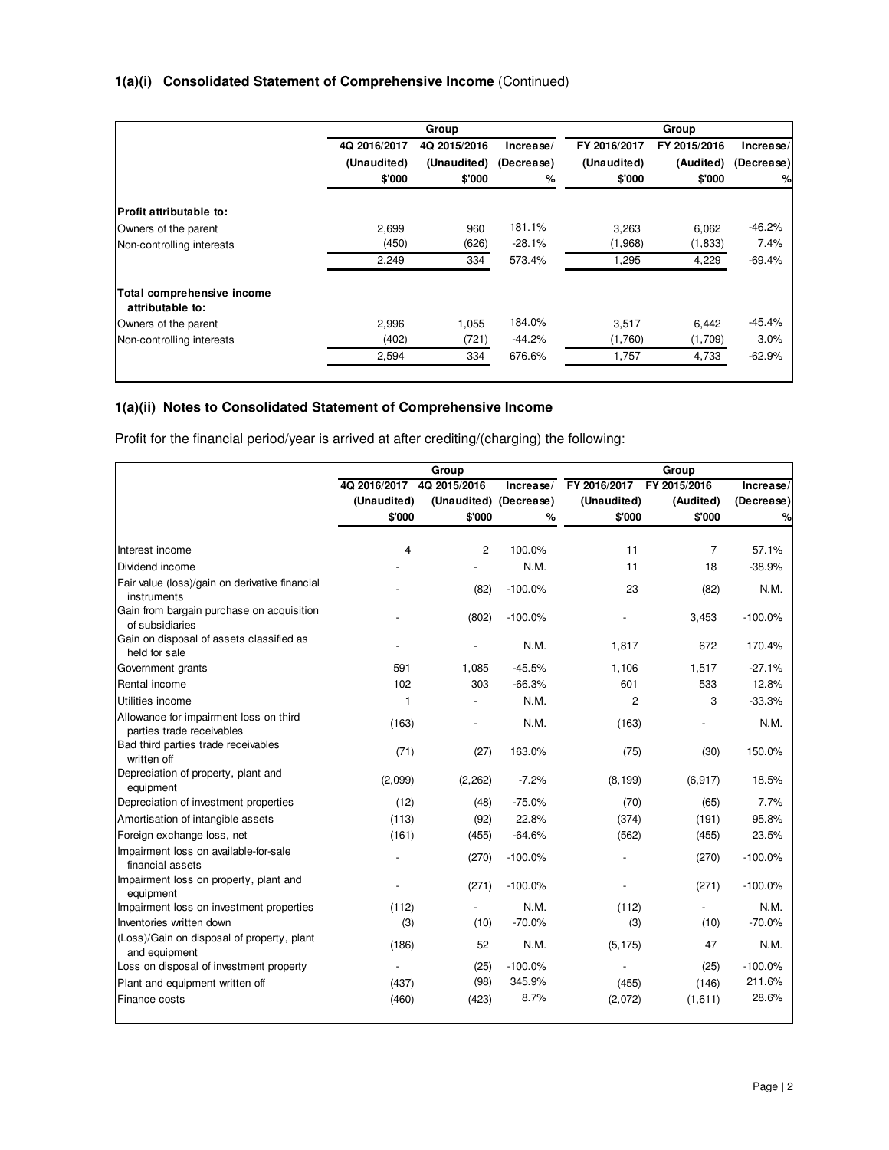# **1(a)(i) Consolidated Statement of Comprehensive Income** (Continued)

|                                                |              | Group        |            |              | Group        |            |
|------------------------------------------------|--------------|--------------|------------|--------------|--------------|------------|
|                                                | 4Q 2016/2017 | 4Q 2015/2016 | Increase/  | FY 2016/2017 | FY 2015/2016 | Increase/  |
|                                                | (Unaudited)  | (Unaudited)  | (Decrease) | (Unaudited)  | (Audited)    | (Decrease) |
|                                                | \$'000       | \$'000       | %          | \$'000       | \$'000       | $\%$       |
| <b>Profit attributable to:</b>                 |              |              |            |              |              |            |
| Owners of the parent                           | 2,699        | 960          | 181.1%     | 3,263        | 6,062        | $-46.2%$   |
| Non-controlling interests                      | (450)        | (626)        | $-28.1%$   | (1,968)      | (1,833)      | 7.4%       |
|                                                | 2,249        | 334          | 573.4%     | 1,295        | 4,229        | $-69.4%$   |
| Total comprehensive income<br>attributable to: |              |              |            |              |              |            |
| Owners of the parent                           | 2.996        | 1,055        | 184.0%     | 3,517        | 6,442        | $-45.4%$   |
| Non-controlling interests                      | (402)        | (721)        | $-44.2%$   | (1,760)      | (1,709)      | 3.0%       |
|                                                | 2,594        | 334          | 676.6%     | 1,757        | 4,733        | $-62.9%$   |

# **1(a)(ii) Notes to Consolidated Statement of Comprehensive Income**

Profit for the financial period/year is arrived at after crediting/(charging) the following:

|                                                                     |                | Group                  |           |                | Group        |            |
|---------------------------------------------------------------------|----------------|------------------------|-----------|----------------|--------------|------------|
|                                                                     | 4Q 2016/2017   | 4Q 2015/2016           | Increase/ | FY 2016/2017   | FY 2015/2016 | Increase/  |
|                                                                     | (Unaudited)    | (Unaudited) (Decrease) |           | (Unaudited)    | (Audited)    | (Decrease) |
|                                                                     | \$'000         | \$'000                 | %         | \$'000         | \$'000       | %          |
|                                                                     |                |                        |           |                |              |            |
| Interest income                                                     | $\overline{4}$ | $\overline{c}$         | 100.0%    | 11             | 7            | 57.1%      |
| Dividend income                                                     |                |                        | N.M.      | 11             | 18           | $-38.9%$   |
| Fair value (loss)/gain on derivative financial<br>instruments       |                | (82)                   | $-100.0%$ | 23             | (82)         | N.M.       |
| Gain from bargain purchase on acquisition<br>of subsidiaries        |                | (802)                  | $-100.0%$ |                | 3,453        | $-100.0%$  |
| Gain on disposal of assets classified as<br>held for sale           |                |                        | N.M.      | 1,817          | 672          | 170.4%     |
| Government grants                                                   | 591            | 1,085                  | $-45.5%$  | 1,106          | 1,517        | $-27.1%$   |
| Rental income                                                       | 102            | 303                    | $-66.3%$  | 601            | 533          | 12.8%      |
| Utilities income                                                    | $\mathbf{1}$   |                        | N.M.      | $\overline{c}$ | 3            | $-33.3%$   |
| Allowance for impairment loss on third<br>parties trade receivables | (163)          |                        | N.M.      | (163)          |              | N.M.       |
| Bad third parties trade receivables<br>written off                  | (71)           | (27)                   | 163.0%    | (75)           | (30)         | 150.0%     |
| Depreciation of property, plant and<br>equipment                    | (2,099)        | (2, 262)               | $-7.2%$   | (8, 199)       | (6, 917)     | 18.5%      |
| Depreciation of investment properties                               | (12)           | (48)                   | $-75.0%$  | (70)           | (65)         | 7.7%       |
| Amortisation of intangible assets                                   | (113)          | (92)                   | 22.8%     | (374)          | (191)        | 95.8%      |
| Foreign exchange loss, net                                          | (161)          | (455)                  | $-64.6%$  | (562)          | (455)        | 23.5%      |
| Impairment loss on available-for-sale<br>financial assets           |                | (270)                  | $-100.0%$ |                | (270)        | $-100.0%$  |
| Impairment loss on property, plant and<br>equipment                 |                | (271)                  | $-100.0%$ |                | (271)        | $-100.0%$  |
| Impairment loss on investment properties                            | (112)          |                        | N.M.      | (112)          |              | N.M.       |
| Inventories written down                                            | (3)            | (10)                   | $-70.0%$  | (3)            | (10)         | $-70.0%$   |
| (Loss)/Gain on disposal of property, plant<br>and equipment         | (186)          | 52                     | N.M.      | (5, 175)       | 47           | N.M.       |
| Loss on disposal of investment property                             |                | (25)                   | $-100.0%$ |                | (25)         | $-100.0%$  |
| Plant and equipment written off                                     | (437)          | (98)                   | 345.9%    | (455)          | (146)        | 211.6%     |
| Finance costs                                                       | (460)          | (423)                  | 8.7%      | (2,072)        | (1,611)      | 28.6%      |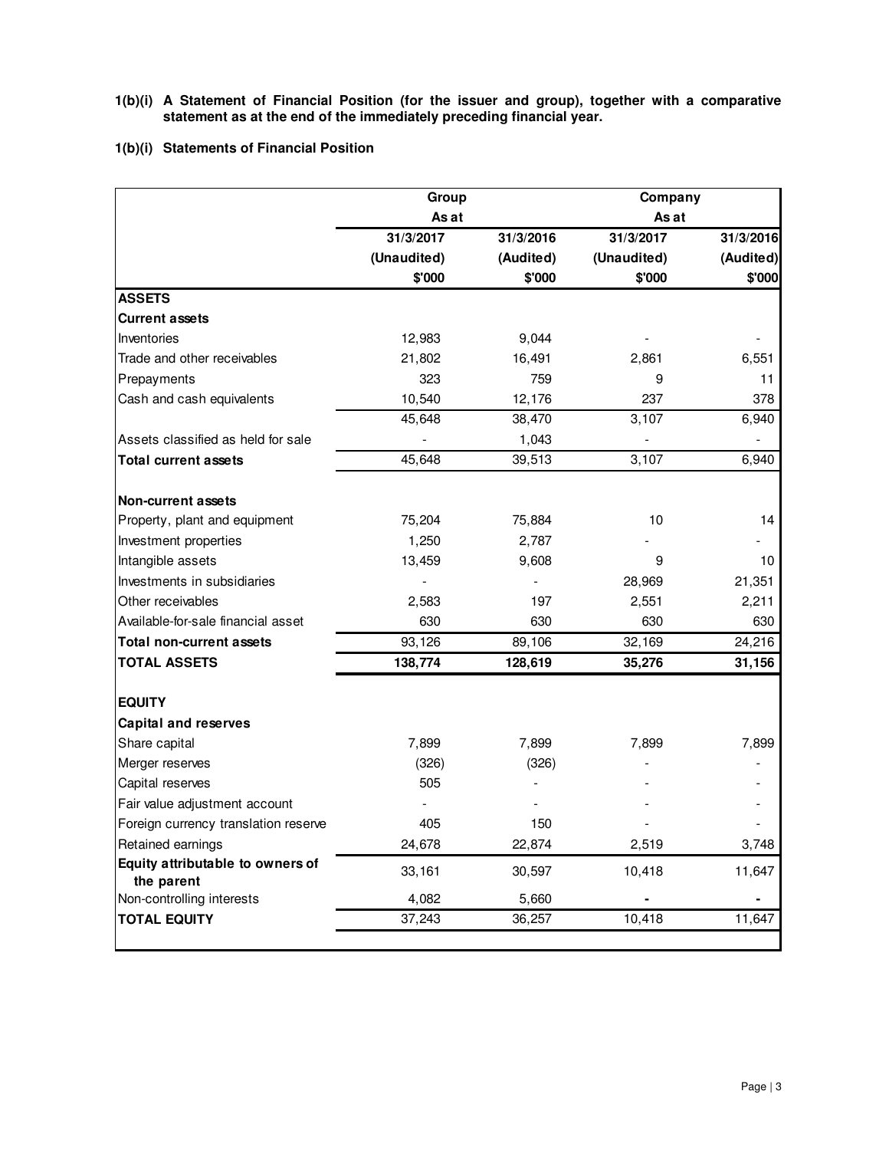- **1(b)(i) A Statement of Financial Position (for the issuer and group), together with a comparative statement as at the end of the immediately preceding financial year.**
- **1(b)(i) Statements of Financial Position**

|                                         |             |           |             | Company   |  |
|-----------------------------------------|-------------|-----------|-------------|-----------|--|
|                                         | As at       |           | As at       |           |  |
|                                         | 31/3/2017   | 31/3/2016 | 31/3/2017   | 31/3/2016 |  |
|                                         | (Unaudited) | (Audited) | (Unaudited) | (Audited) |  |
|                                         | \$'000      | \$'000    | \$'000      | \$'000    |  |
| <b>ASSETS</b>                           |             |           |             |           |  |
| <b>Current assets</b>                   |             |           |             |           |  |
| Inventories                             | 12,983      | 9,044     |             |           |  |
| Trade and other receivables             | 21,802      | 16,491    | 2,861       | 6,551     |  |
| Prepayments                             | 323         | 759       | 9           | 11        |  |
| Cash and cash equivalents               | 10,540      | 12,176    | 237         | 378       |  |
|                                         | 45,648      | 38,470    | 3,107       | 6,940     |  |
| Assets classified as held for sale      |             | 1,043     |             |           |  |
| <b>Total current assets</b>             | 45,648      | 39,513    | 3,107       | 6,940     |  |
| <b>Non-current assets</b>               |             |           |             |           |  |
| Property, plant and equipment           | 75,204      | 75,884    | 10          | 14        |  |
| Investment properties                   | 1,250       | 2,787     |             |           |  |
| Intangible assets                       | 13,459      | 9,608     | 9           | 10        |  |
| Investments in subsidiaries             |             |           | 28,969      | 21,351    |  |
| Other receivables                       | 2,583       | 197       | 2,551       | 2,211     |  |
| Available-for-sale financial asset      | 630         | 630       | 630         | 630       |  |
| <b>Total non-current assets</b>         | 93,126      | 89,106    | 32,169      | 24,216    |  |
| <b>TOTAL ASSETS</b>                     | 138,774     | 128,619   | 35,276      | 31,156    |  |
| <b>EQUITY</b>                           |             |           |             |           |  |
| <b>Capital and reserves</b>             |             |           |             |           |  |
| Share capital                           | 7,899       | 7,899     | 7,899       | 7,899     |  |
| Merger reserves                         | (326)       | (326)     |             |           |  |
| Capital reserves                        | 505         |           |             |           |  |
| Fair value adjustment account           |             |           |             |           |  |
| Foreign currency translation reserve    | 405         | 150       |             |           |  |
| Retained earnings                       | 24,678      | 22,874    | 2,519       | 3,748     |  |
| Equity attributable to owners of        | 33,161      | 30,597    | 10,418      | 11,647    |  |
| the parent<br>Non-controlling interests | 4,082       | 5,660     |             |           |  |
| <b>TOTAL EQUITY</b>                     | 37,243      | 36,257    | 10,418      | 11,647    |  |
|                                         |             |           |             |           |  |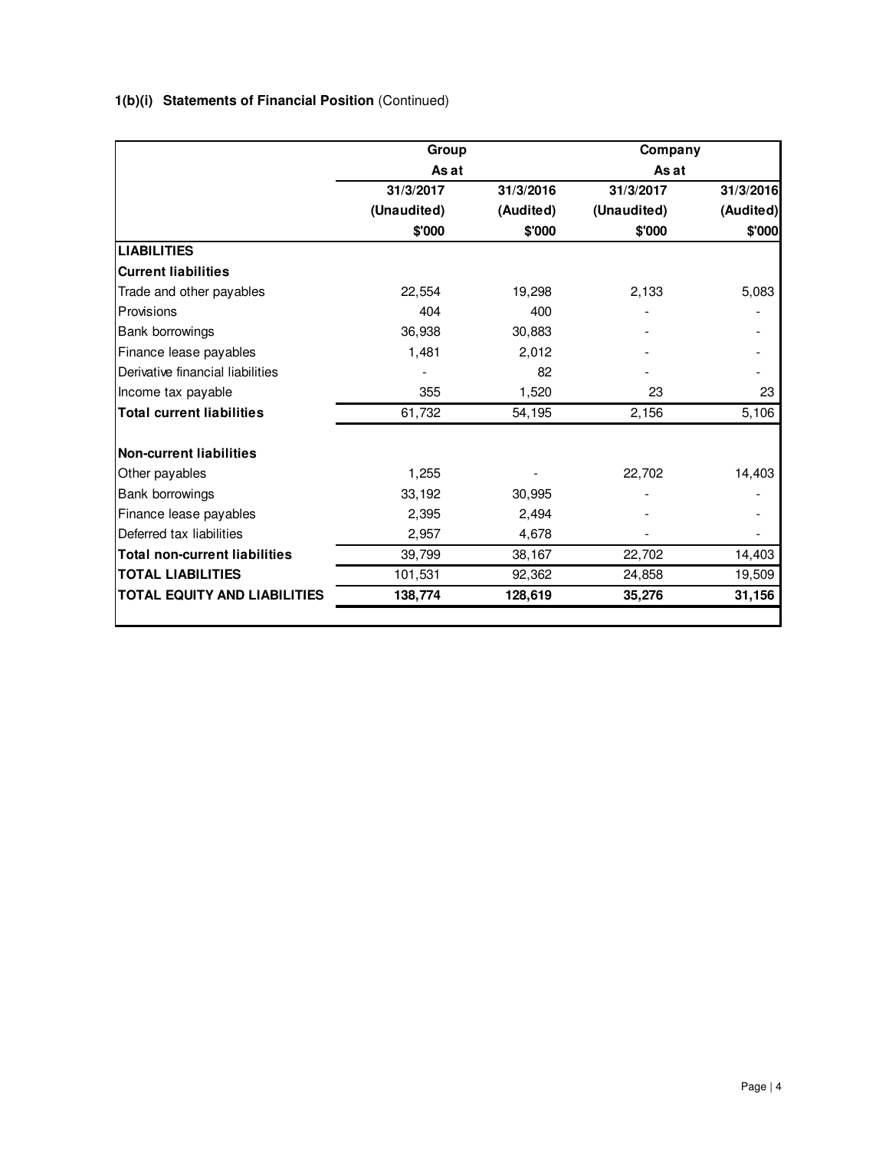# **1(b)(i) Statements of Financial Position** (Continued)

| Group       |           | Company     |           |  |  |
|-------------|-----------|-------------|-----------|--|--|
| As at       |           | As at       |           |  |  |
| 31/3/2017   | 31/3/2016 | 31/3/2017   | 31/3/2016 |  |  |
| (Unaudited) | (Audited) | (Unaudited) | (Audited) |  |  |
| \$'000      | \$'000    | \$'000      | \$'000    |  |  |
|             |           |             |           |  |  |
|             |           |             |           |  |  |
| 22,554      | 19,298    | 2,133       | 5,083     |  |  |
| 404         | 400       |             |           |  |  |
| 36,938      | 30,883    |             |           |  |  |
| 1,481       | 2,012     |             |           |  |  |
|             | 82        |             |           |  |  |
| 355         | 1,520     | 23          | 23        |  |  |
| 61,732      | 54,195    | 2,156       | 5,106     |  |  |
|             |           |             |           |  |  |
| 1,255       |           | 22,702      | 14,403    |  |  |
| 33,192      | 30,995    |             |           |  |  |
| 2,395       | 2,494     |             |           |  |  |
| 2,957       | 4,678     |             |           |  |  |
| 39,799      | 38,167    | 22,702      | 14,403    |  |  |
| 101,531     | 92,362    | 24,858      | 19,509    |  |  |
| 138,774     | 128,619   | 35,276      | 31,156    |  |  |
|             |           |             |           |  |  |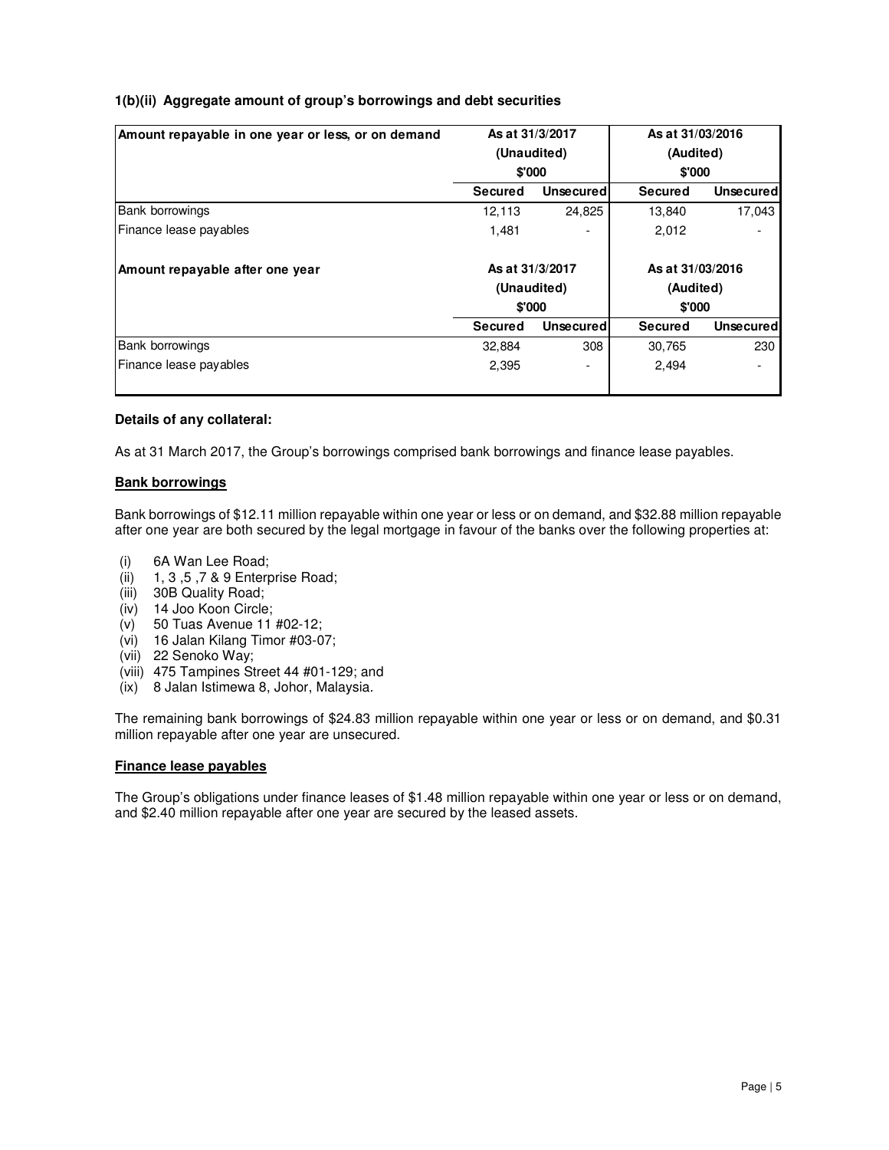# **1(b)(ii) Aggregate amount of group's borrowings and debt securities**

| Amount repayable in one year or less, or on demand |                 | As at 31/3/2017  | As at 31/03/2016 |                  |  |
|----------------------------------------------------|-----------------|------------------|------------------|------------------|--|
|                                                    |                 | (Unaudited)      | (Audited)        |                  |  |
|                                                    | \$'000          |                  | \$'000           |                  |  |
|                                                    | <b>Secured</b>  | <b>Unsecured</b> | Secured          | <b>Unsecured</b> |  |
| <b>Bank borrowings</b>                             | 12,113          | 24,825           | 13,840           | 17,043           |  |
| Finance lease payables                             | 1,481           |                  | 2,012            |                  |  |
| Amount repayable after one year                    | As at 31/3/2017 |                  | As at 31/03/2016 |                  |  |
|                                                    |                 | (Unaudited)      | (Audited)        |                  |  |
|                                                    | \$'000          |                  | \$'000           |                  |  |
|                                                    | Secured         | <b>Unsecured</b> | Secured          | <b>Unsecured</b> |  |
| <b>Bank borrowings</b>                             | 32,884          | 308              | 30,765           | 230              |  |
| Finance lease payables                             |                 |                  | 2,494            |                  |  |
|                                                    | 2,395           |                  |                  |                  |  |

#### **Details of any collateral:**

As at 31 March 2017, the Group's borrowings comprised bank borrowings and finance lease payables.

# **Bank borrowings**

Bank borrowings of \$12.11 million repayable within one year or less or on demand, and \$32.88 million repayable after one year are both secured by the legal mortgage in favour of the banks over the following properties at:

- (i) 6A Wan Lee Road;
- (ii) 1, 3 ,5 ,7 & 9 Enterprise Road;
- (iii) 30B Quality Road;
- (iv) 14 Joo Koon Circle;
- (v) 50 Tuas Avenue 11 #02-12;
- (vi) 16 Jalan Kilang Timor #03-07;
- (vii) 22 Senoko Way;
- (viii) 475 Tampines Street 44 #01-129; and
- (ix) 8 Jalan Istimewa 8, Johor, Malaysia.

The remaining bank borrowings of \$24.83 million repayable within one year or less or on demand, and \$0.31 million repayable after one year are unsecured.

#### **Finance lease payables**

The Group's obligations under finance leases of \$1.48 million repayable within one year or less or on demand, and \$2.40 million repayable after one year are secured by the leased assets.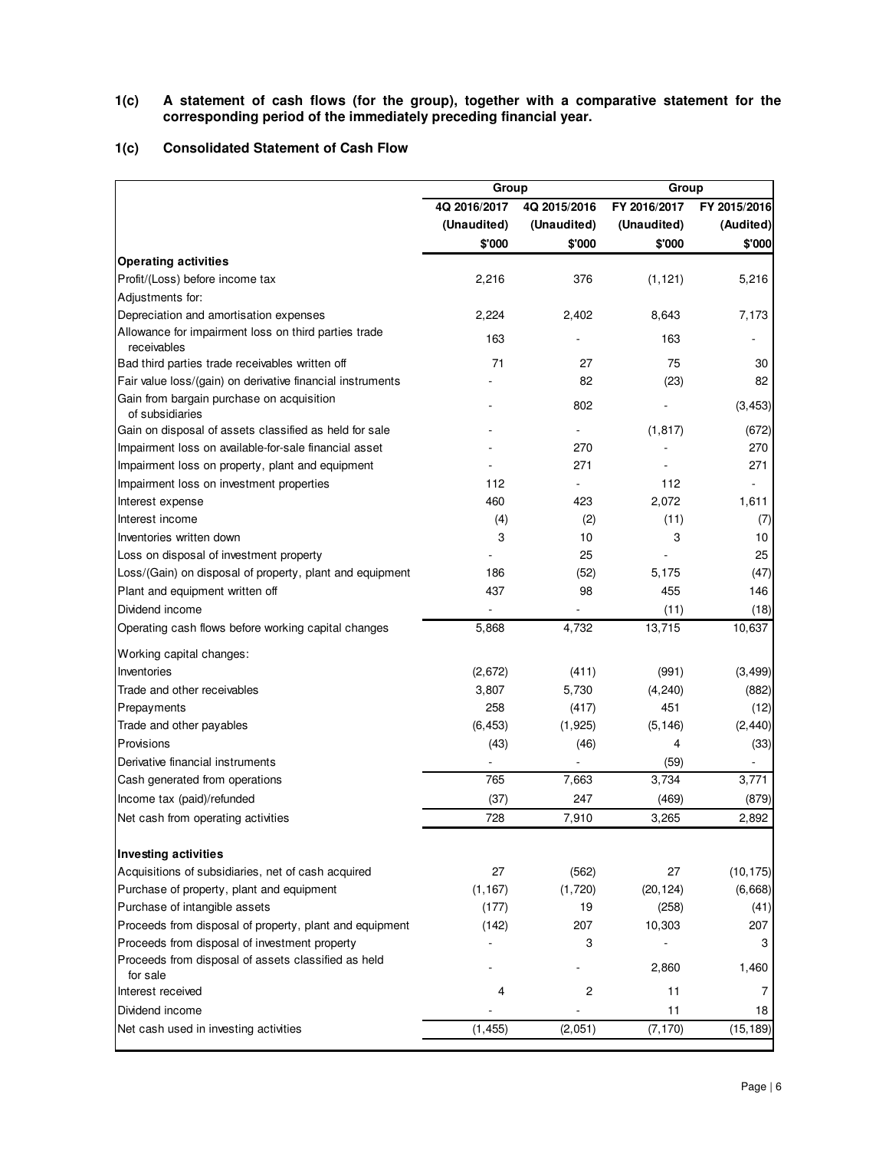**1(c) A statement of cash flows (for the group), together with a comparative statement for the corresponding period of the immediately preceding financial year.** 

# **1(c) Consolidated Statement of Cash Flow**

|                                                                     | Group        |              | Group        |              |  |  |
|---------------------------------------------------------------------|--------------|--------------|--------------|--------------|--|--|
|                                                                     | 4Q 2016/2017 | 4Q 2015/2016 | FY 2016/2017 | FY 2015/2016 |  |  |
|                                                                     | (Unaudited)  | (Unaudited)  | (Unaudited)  | (Audited)    |  |  |
|                                                                     | \$'000       | \$'000       | \$'000       | \$'000       |  |  |
| <b>Operating activities</b>                                         |              |              |              |              |  |  |
| Profit/(Loss) before income tax                                     | 2,216        | 376          | (1, 121)     | 5,216        |  |  |
| Adjustments for:                                                    |              |              |              |              |  |  |
| Depreciation and amortisation expenses                              | 2,224        | 2,402        | 8,643        | 7,173        |  |  |
| Allowance for impairment loss on third parties trade<br>receivables | 163          |              | 163          |              |  |  |
| Bad third parties trade receivables written off                     | 71           | 27           | 75           | 30           |  |  |
| Fair value loss/(gain) on derivative financial instruments          |              | 82           | (23)         | 82           |  |  |
| Gain from bargain purchase on acquisition<br>of subsidiaries        |              | 802          |              | (3, 453)     |  |  |
| Gain on disposal of assets classified as held for sale              |              |              | (1, 817)     | (672)        |  |  |
| Impairment loss on available-for-sale financial asset               |              | 270          |              | 270          |  |  |
| Impairment loss on property, plant and equipment                    |              | 271          |              | 271          |  |  |
| Impairment loss on investment properties                            | 112          |              | 112          |              |  |  |
| Interest expense                                                    | 460          | 423          | 2.072        | 1,611        |  |  |
| Interest income                                                     | (4)          | (2)          | (11)         | (7)          |  |  |
| Inventories written down                                            | 3            | 10           | 3            | 10           |  |  |
| Loss on disposal of investment property                             |              | 25           |              | 25           |  |  |
| Loss/(Gain) on disposal of property, plant and equipment            | 186          | (52)         | 5,175        | (47)         |  |  |
| Plant and equipment written off                                     | 437          | 98           | 455          | 146          |  |  |
| Dividend income                                                     |              |              | (11)         | (18)         |  |  |
| Operating cash flows before working capital changes                 | 5,868        | 4,732        | 13,715       | 10,637       |  |  |
| Working capital changes:                                            |              |              |              |              |  |  |
| Inventories                                                         | (2,672)      | (411)        | (991)        | (3, 499)     |  |  |
| Trade and other receivables                                         | 3,807        | 5,730        | (4, 240)     | (882)        |  |  |
| Prepayments                                                         | 258          | (417)        | 451          | (12)         |  |  |
| Trade and other payables                                            | (6, 453)     | (1, 925)     | (5, 146)     | (2, 440)     |  |  |
| Provisions                                                          | (43)         | (46)         | 4            | (33)         |  |  |
| Derivative financial instruments                                    |              |              | (59)         |              |  |  |
| Cash generated from operations                                      | 765          | 7,663        | 3,734        | 3,771        |  |  |
| Income tax (paid)/refunded                                          | (37)         | 247          | (469)        | (879)        |  |  |
| Net cash from operating activities                                  | 728          | 7,910        | 3,265        | 2,892        |  |  |
|                                                                     |              |              |              |              |  |  |
| Investing activities                                                |              |              |              |              |  |  |
| Acquisitions of subsidiaries, net of cash acquired                  | 27           | (562)        | 27           | (10, 175)    |  |  |
| Purchase of property, plant and equipment                           | (1, 167)     | (1,720)      | (20, 124)    | (6,668)      |  |  |
| Purchase of intangible assets                                       | (177)        | 19           | (258)        | (41)         |  |  |
| Proceeds from disposal of property, plant and equipment             | (142)        | 207          | 10,303       | 207          |  |  |
| Proceeds from disposal of investment property                       |              | 3            |              | 3            |  |  |
| Proceeds from disposal of assets classified as held<br>for sale     |              |              | 2,860        | 1,460        |  |  |
| Interest received                                                   | 4            | 2            | 11           | 7            |  |  |
| Dividend income                                                     |              |              | 11           | 18           |  |  |
| Net cash used in investing activities                               | (1, 455)     | (2,051)      | (7, 170)     | (15, 189)    |  |  |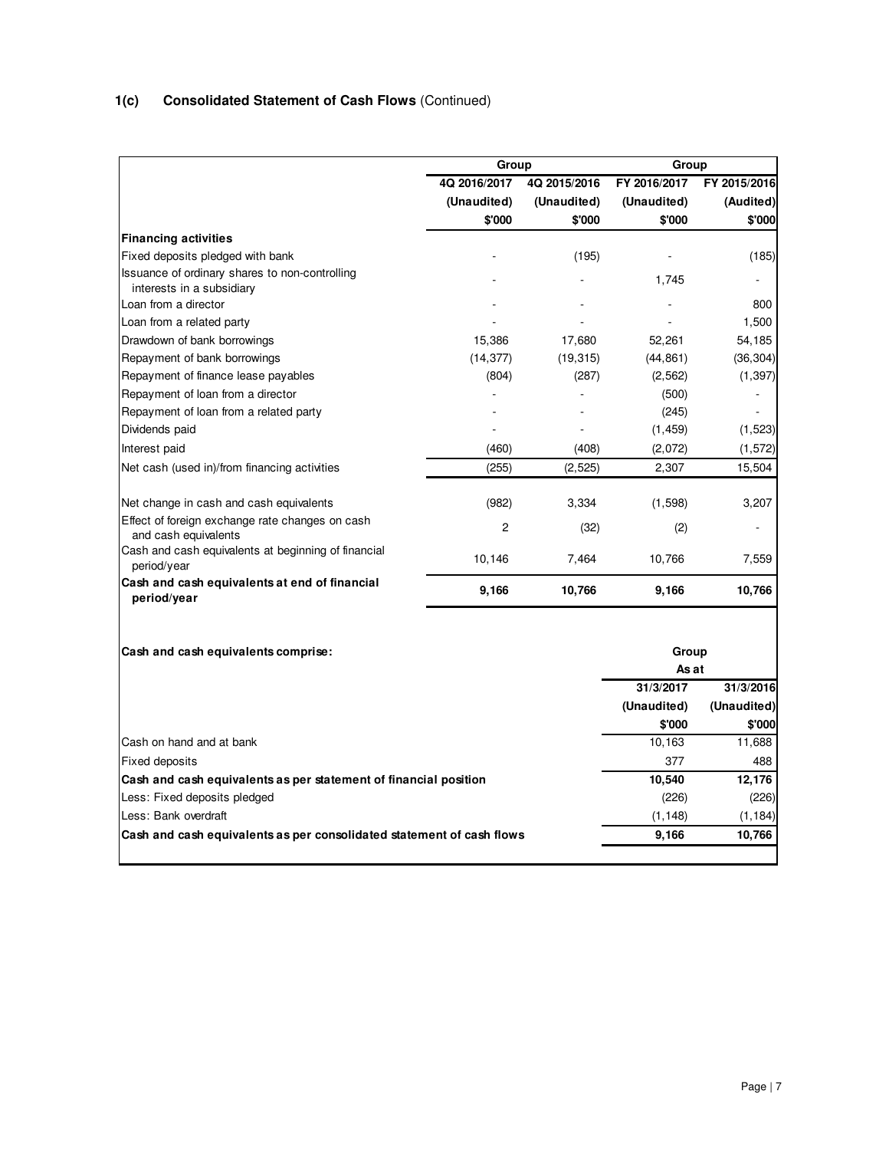# **1(c) Consolidated Statement of Cash Flows** (Continued)

|                                                                             | Group                       |                             |                             | Group                     |  |  |  |
|-----------------------------------------------------------------------------|-----------------------------|-----------------------------|-----------------------------|---------------------------|--|--|--|
|                                                                             | 4Q 2016/2017<br>(Unaudited) | 4Q 2015/2016<br>(Unaudited) | FY 2016/2017<br>(Unaudited) | FY 2015/2016<br>(Audited) |  |  |  |
|                                                                             | \$'000                      | \$'000                      | \$'000                      | \$'000                    |  |  |  |
| <b>Financing activities</b>                                                 |                             |                             |                             |                           |  |  |  |
| Fixed deposits pledged with bank                                            |                             | (195)                       |                             | (185)                     |  |  |  |
| Issuance of ordinary shares to non-controlling<br>interests in a subsidiary |                             |                             | 1.745                       |                           |  |  |  |
| Loan from a director                                                        |                             |                             |                             | 800                       |  |  |  |
| Loan from a related party                                                   |                             |                             |                             | 1,500                     |  |  |  |
| Drawdown of bank borrowings                                                 | 15,386                      | 17,680                      | 52,261                      | 54,185                    |  |  |  |
| Repayment of bank borrowings                                                | (14, 377)                   | (19, 315)                   | (44, 861)                   | (36, 304)                 |  |  |  |
| Repayment of finance lease payables                                         | (804)                       | (287)                       | (2, 562)                    | (1, 397)                  |  |  |  |
| Repayment of loan from a director                                           |                             |                             | (500)                       |                           |  |  |  |
| Repayment of loan from a related party                                      |                             |                             | (245)                       |                           |  |  |  |
| Dividends paid                                                              |                             |                             | (1, 459)                    | (1, 523)                  |  |  |  |
| Interest paid                                                               | (460)                       | (408)                       | (2,072)                     | (1, 572)                  |  |  |  |
| Net cash (used in)/from financing activities                                | (255)                       | (2, 525)                    | 2,307                       | 15,504                    |  |  |  |
| Net change in cash and cash equivalents                                     | (982)                       | 3,334                       | (1,598)                     | 3,207                     |  |  |  |
| Effect of foreign exchange rate changes on cash<br>and cash equivalents     | 2                           | (32)                        | (2)                         |                           |  |  |  |
| Cash and cash equivalents at beginning of financial<br>period/year          | 10,146                      | 7,464                       | 10,766                      | 7,559                     |  |  |  |
| Cash and cash equivalents at end of financial<br>period/year                | 9,166                       | 10,766                      | 9,166                       | 10,766                    |  |  |  |
| Cash and cash equivalents comprise:                                         |                             |                             | Group                       |                           |  |  |  |
|                                                                             |                             |                             | As at                       |                           |  |  |  |
|                                                                             |                             |                             | 31/3/2017                   | 31/3/2016                 |  |  |  |
|                                                                             |                             |                             | (Unaudited)                 | (Unaudited)               |  |  |  |
|                                                                             |                             |                             | \$'000                      | \$'000                    |  |  |  |
| Cash on hand and at bank                                                    |                             |                             | 10,163                      | 11,688                    |  |  |  |
| <b>Fixed deposits</b>                                                       |                             |                             | 377                         | 488                       |  |  |  |
| Cash and cash equivalents as per statement of financial position            |                             |                             | 10,540                      | 12,176                    |  |  |  |
| Less: Fixed deposits pledged                                                |                             |                             | (226)                       | (226)                     |  |  |  |
| Less: Bank overdraft                                                        |                             |                             | (1, 148)                    | (1, 184)                  |  |  |  |
| Cash and cash equivalents as per consolidated statement of cash flows       |                             |                             | 9,166                       | 10,766                    |  |  |  |
|                                                                             |                             |                             |                             |                           |  |  |  |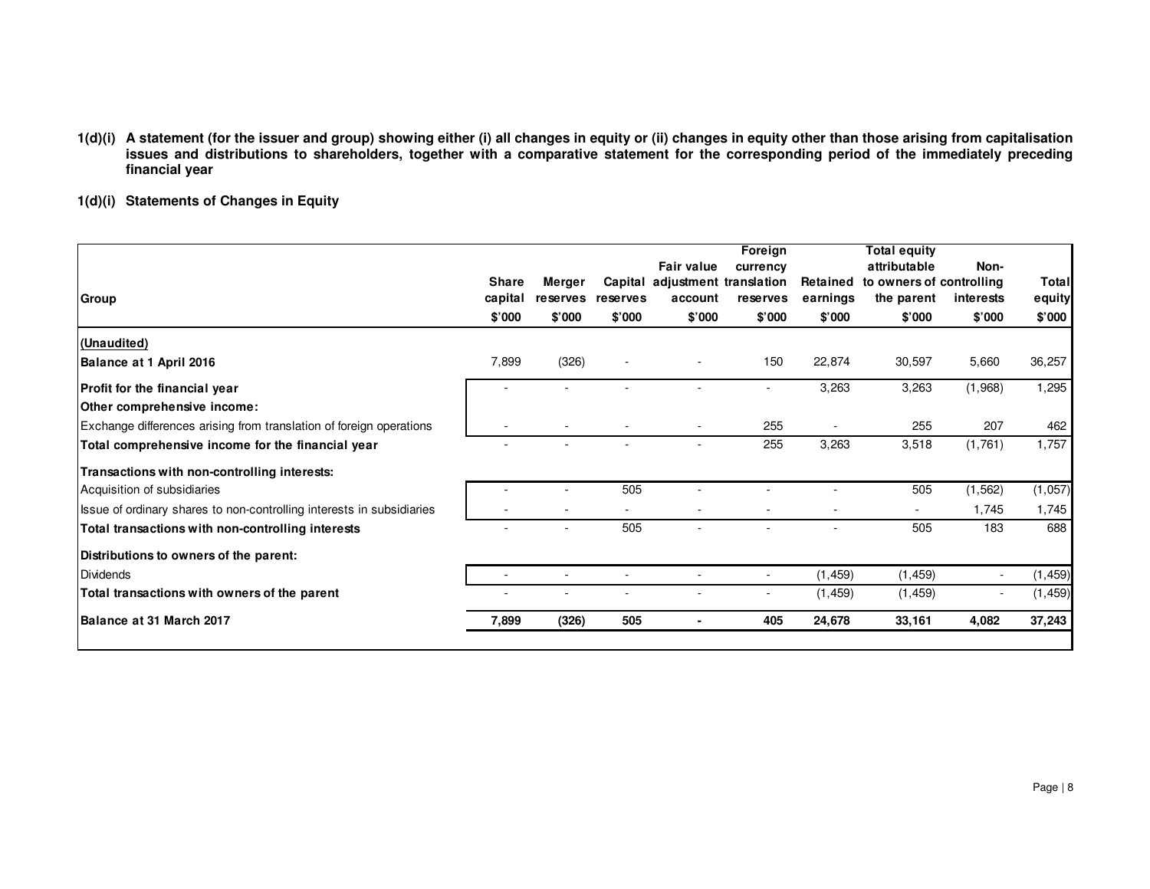- 1(d)(i) A statement (for the issuer and group) showing either (i) all changes in equity or (ii) changes in equity other than those arising from capitalisation<br>issues and distributions to shareholders, together with a compa **financial year**
- **1(d)(i) Statements of Changes in Equity**

| Group                                                                 | <b>Share</b><br>capital<br>\$'000 | Merger<br><b>reserves</b><br>\$'000 | reserves<br>\$'000 | <b>Fair value</b><br>Capital adjustment translation<br>account<br>\$'000 | Foreign<br>currency<br>reserves<br>\$'000 | Retained<br>earnings<br>\$'000 | <b>Total equity</b><br>attributable<br>to owners of controlling<br>the parent<br>\$'000 | Non-<br>interests<br>\$'000 | Total<br>equity<br>\$'000 |
|-----------------------------------------------------------------------|-----------------------------------|-------------------------------------|--------------------|--------------------------------------------------------------------------|-------------------------------------------|--------------------------------|-----------------------------------------------------------------------------------------|-----------------------------|---------------------------|
| (Unaudited)                                                           |                                   |                                     |                    |                                                                          |                                           |                                |                                                                                         |                             |                           |
| Balance at 1 April 2016                                               | 7,899                             | (326)                               |                    |                                                                          | 150                                       | 22,874                         | 30,597                                                                                  | 5,660                       | 36,257                    |
| Profit for the financial year<br>Other comprehensive income:          |                                   |                                     |                    |                                                                          |                                           | 3,263                          | 3,263                                                                                   | (1,968)                     | 1,295                     |
| Exchange differences arising from translation of foreign operations   |                                   |                                     |                    |                                                                          | 255                                       |                                | 255                                                                                     | 207                         | 462                       |
| Total comprehensive income for the financial year                     |                                   |                                     |                    | ٠                                                                        | 255                                       | 3,263                          | 3,518                                                                                   | (1,761)                     | 1,757                     |
| Transactions with non-controlling interests:                          |                                   |                                     |                    |                                                                          |                                           |                                |                                                                                         |                             |                           |
| Acquisition of subsidiaries                                           |                                   |                                     | 505                |                                                                          |                                           |                                | 505                                                                                     | (1, 562)                    | (1,057)                   |
| Issue of ordinary shares to non-controlling interests in subsidiaries |                                   |                                     |                    |                                                                          |                                           |                                |                                                                                         | 1,745                       | 1,745                     |
| Total transactions with non-controlling interests                     |                                   |                                     | 505                |                                                                          |                                           |                                | 505                                                                                     | 183                         | 688                       |
| Distributions to owners of the parent:                                |                                   |                                     |                    |                                                                          |                                           |                                |                                                                                         |                             |                           |
| <b>Dividends</b>                                                      |                                   |                                     |                    |                                                                          | $\sim$                                    | (1, 459)                       | (1, 459)                                                                                |                             | (1, 459)                  |
| Total transactions with owners of the parent                          |                                   |                                     |                    |                                                                          |                                           | (1, 459)                       | (1, 459)                                                                                |                             | (1, 459)                  |
| Balance at 31 March 2017                                              | 7,899                             | (326)                               | 505                |                                                                          | 405                                       | 24,678                         | 33,161                                                                                  | 4,082                       | 37,243                    |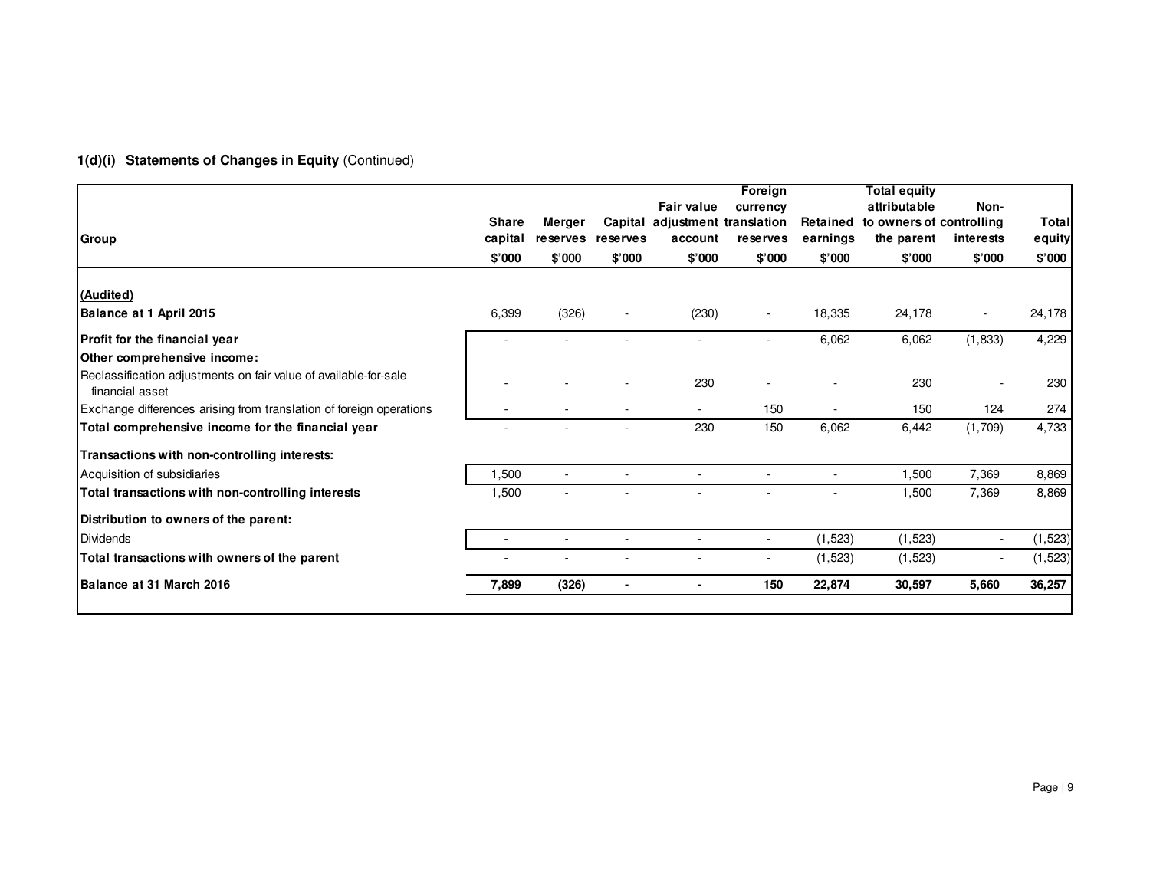# **1(d)(i) Statements of Changes in Equity** (Continued)

| Group                                                                               | <b>Share</b><br>capital | Merger<br>reserves reserves |        | <b>Fair value</b><br>Capital adjustment translation<br>account | Foreign<br>currency<br>reserves | Retained<br>earnings | <b>Total equity</b><br>attributable<br>to owners of controlling<br>the parent | Non-<br>interests | <b>Total</b><br>equity |
|-------------------------------------------------------------------------------------|-------------------------|-----------------------------|--------|----------------------------------------------------------------|---------------------------------|----------------------|-------------------------------------------------------------------------------|-------------------|------------------------|
|                                                                                     | \$'000                  | \$'000                      | \$'000 | \$'000                                                         | \$'000                          | \$'000               | \$'000                                                                        | \$'000            | \$'000                 |
| (Audited)                                                                           |                         |                             |        |                                                                |                                 |                      |                                                                               |                   |                        |
| Balance at 1 April 2015                                                             | 6,399                   | (326)                       |        | (230)                                                          |                                 | 18,335               | 24,178                                                                        |                   | 24,178                 |
| Profit for the financial year                                                       |                         |                             |        |                                                                |                                 | 6,062                | 6,062                                                                         | (1, 833)          | 4,229                  |
| Other comprehensive income:                                                         |                         |                             |        |                                                                |                                 |                      |                                                                               |                   |                        |
| Reclassification adjustments on fair value of available-for-sale<br>financial asset |                         |                             |        | 230                                                            |                                 |                      | 230                                                                           |                   | 230                    |
| Exchange differences arising from translation of foreign operations                 |                         |                             |        |                                                                | 150                             |                      | 150                                                                           | 124               | 274                    |
| Total comprehensive income for the financial year                                   |                         |                             |        | 230                                                            | 150                             | 6,062                | 6,442                                                                         | (1,709)           | 4,733                  |
| Transactions with non-controlling interests:                                        |                         |                             |        |                                                                |                                 |                      |                                                                               |                   |                        |
| Acquisition of subsidiaries                                                         | 1.500                   | $\sim$                      | $\sim$ | $\sim$                                                         |                                 | $\sim$               | 1,500                                                                         | 7,369             | 8,869                  |
| Total transactions with non-controlling interests                                   | 1,500                   |                             |        |                                                                |                                 |                      | 1,500                                                                         | 7,369             | 8,869                  |
| Distribution to owners of the parent:                                               |                         |                             |        |                                                                |                                 |                      |                                                                               |                   |                        |
| Dividends                                                                           | $\sim$                  | $\sim$                      | $\sim$ | $\sim$                                                         | $\sim$                          | (1, 523)             | (1, 523)                                                                      |                   | (1, 523)               |
| Total transactions with owners of the parent                                        |                         |                             |        | $\overline{\phantom{a}}$                                       |                                 | (1, 523)             | (1,523)                                                                       |                   | (1, 523)               |
| Balance at 31 March 2016                                                            | 7,899                   | (326)                       |        | ٠                                                              | 150                             | 22,874               | 30,597                                                                        | 5,660             | 36,257                 |
|                                                                                     |                         |                             |        |                                                                |                                 |                      |                                                                               |                   |                        |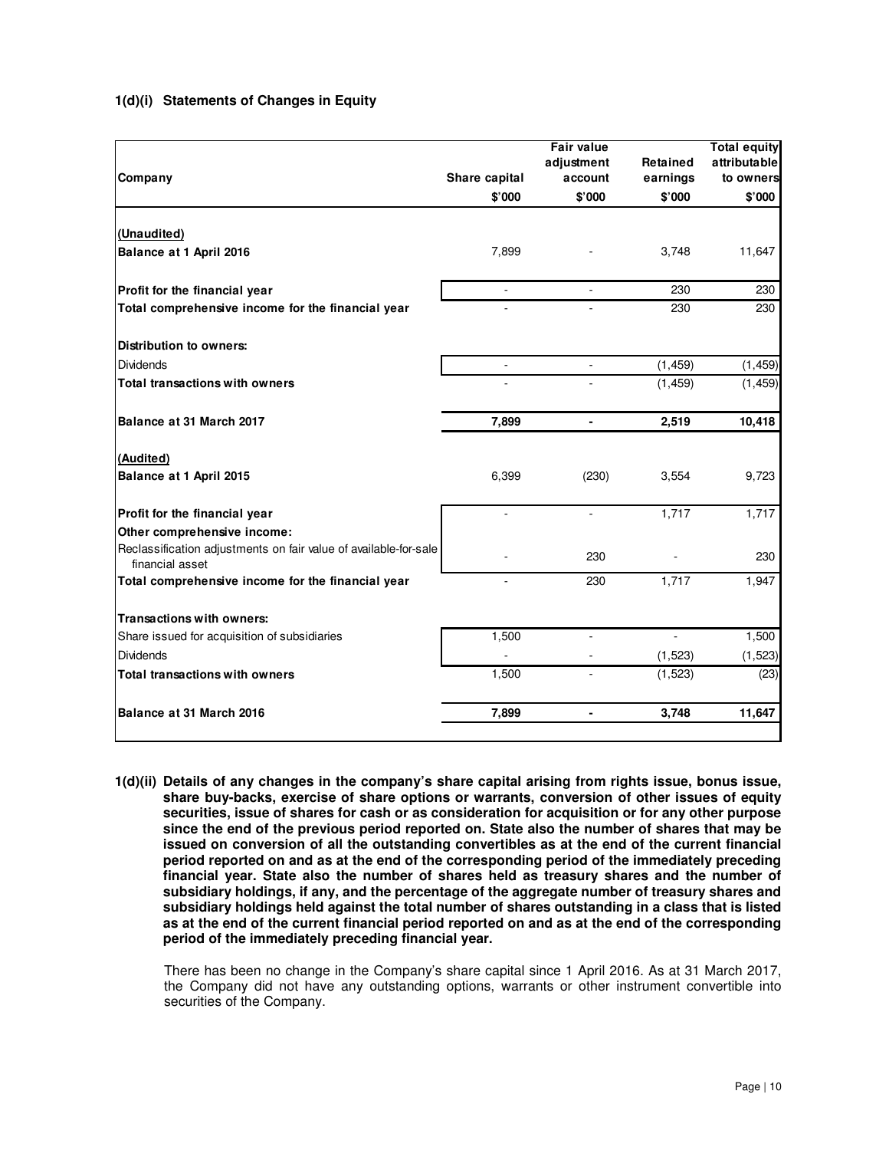# **1(d)(i) Statements of Changes in Equity**

| Company                                                                             | Share capital  | <b>Fair value</b><br>adjustment<br>account | Retained<br>earnings | <b>Total equity</b><br>attributable<br>to owners |
|-------------------------------------------------------------------------------------|----------------|--------------------------------------------|----------------------|--------------------------------------------------|
|                                                                                     | \$'000         | \$'000                                     | \$'000               | \$'000                                           |
|                                                                                     |                |                                            |                      |                                                  |
| (Unaudited)                                                                         |                |                                            |                      |                                                  |
| Balance at 1 April 2016                                                             | 7,899          |                                            | 3,748                | 11,647                                           |
| Profit for the financial year                                                       | ÷.             | ä,                                         | 230                  | 230                                              |
| Total comprehensive income for the financial year                                   |                |                                            | 230                  | 230                                              |
|                                                                                     |                |                                            |                      |                                                  |
| <b>Distribution to owners:</b>                                                      |                |                                            |                      |                                                  |
| Dividends                                                                           |                | $\omega$                                   | (1, 459)             | (1, 459)                                         |
| <b>Total transactions with owners</b>                                               |                |                                            | (1, 459)             | (1, 459)                                         |
| Balance at 31 March 2017                                                            | 7,899          | $\blacksquare$                             | 2,519                | 10,418                                           |
| (Audited)                                                                           |                |                                            |                      |                                                  |
| Balance at 1 April 2015                                                             | 6,399          | (230)                                      | 3,554                | 9,723                                            |
| Profit for the financial year                                                       |                | $\sim$                                     | 1,717                | 1,717                                            |
| Other comprehensive income:                                                         |                |                                            |                      |                                                  |
| Reclassification adjustments on fair value of available-for-sale<br>financial asset |                | 230                                        |                      | 230                                              |
| Total comprehensive income for the financial year                                   | $\overline{a}$ | 230                                        | 1,717                | 1,947                                            |
| <b>Transactions with owners:</b>                                                    |                |                                            |                      |                                                  |
| Share issued for acquisition of subsidiaries                                        | 1,500          | $\sim$                                     | L.                   | 1,500                                            |
| <b>Dividends</b>                                                                    |                |                                            | (1, 523)             | (1, 523)                                         |
| <b>Total transactions with owners</b>                                               | 1,500          |                                            | (1, 523)             | (23)                                             |
|                                                                                     |                |                                            |                      |                                                  |
| Balance at 31 March 2016                                                            | 7,899          |                                            | 3,748                | 11,647                                           |

**1(d)(ii) Details of any changes in the company's share capital arising from rights issue, bonus issue, share buy-backs, exercise of share options or warrants, conversion of other issues of equity securities, issue of shares for cash or as consideration for acquisition or for any other purpose since the end of the previous period reported on. State also the number of shares that may be issued on conversion of all the outstanding convertibles as at the end of the current financial period reported on and as at the end of the corresponding period of the immediately preceding financial year. State also the number of shares held as treasury shares and the number of subsidiary holdings, if any, and the percentage of the aggregate number of treasury shares and subsidiary holdings held against the total number of shares outstanding in a class that is listed as at the end of the current financial period reported on and as at the end of the corresponding period of the immediately preceding financial year.**

There has been no change in the Company's share capital since 1 April 2016. As at 31 March 2017, the Company did not have any outstanding options, warrants or other instrument convertible into securities of the Company.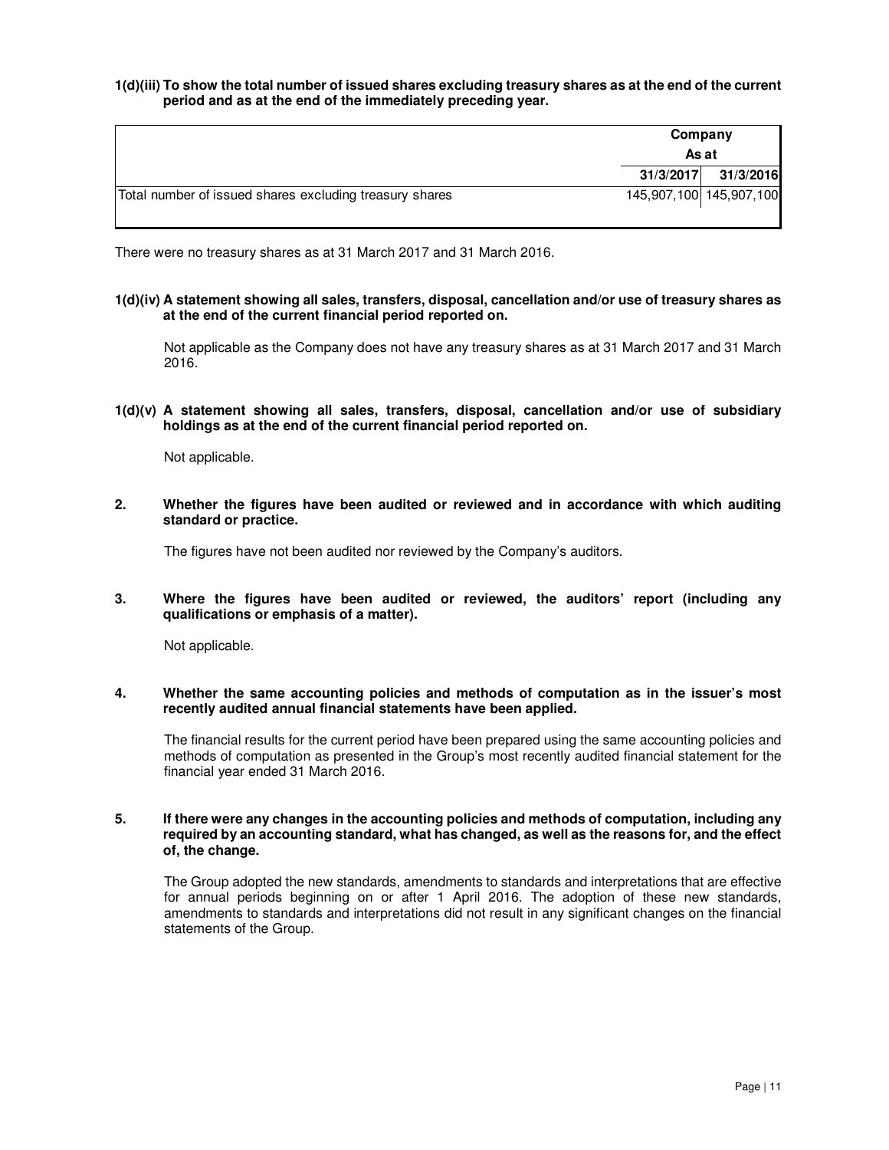**1(d)(iii) To show the total number of issued shares excluding treasury shares as at the end of the current period and as at the end of the immediately preceding year.** 

|                                                         | Company   |                         |
|---------------------------------------------------------|-----------|-------------------------|
|                                                         | As at     |                         |
|                                                         | 31/3/2017 | 31/3/2016               |
| Total number of issued shares excluding treasury shares |           | 145,907,100 145,907,100 |

There were no treasury shares as at 31 March 2017 and 31 March 2016.

**1(d)(iv) A statement showing all sales, transfers, disposal, cancellation and/or use of treasury shares as at the end of the current financial period reported on.** 

Not applicable as the Company does not have any treasury shares as at 31 March 2017 and 31 March 2016.

**1(d)(v) A statement showing all sales, transfers, disposal, cancellation and/or use of subsidiary holdings as at the end of the current financial period reported on.** 

Not applicable.

**2. Whether the figures have been audited or reviewed and in accordance with which auditing standard or practice.** 

The figures have not been audited nor reviewed by the Company's auditors.

**3. Where the figures have been audited or reviewed, the auditors' report (including any qualifications or emphasis of a matter).** 

Not applicable.

**4. Whether the same accounting policies and methods of computation as in the issuer's most recently audited annual financial statements have been applied.** 

The financial results for the current period have been prepared using the same accounting policies and methods of computation as presented in the Group's most recently audited financial statement for the financial year ended 31 March 2016.

#### **5. If there were any changes in the accounting policies and methods of computation, including any required by an accounting standard, what has changed, as well as the reasons for, and the effect of, the change.**

The Group adopted the new standards, amendments to standards and interpretations that are effective for annual periods beginning on or after 1 April 2016. The adoption of these new standards, amendments to standards and interpretations did not result in any significant changes on the financial statements of the Group.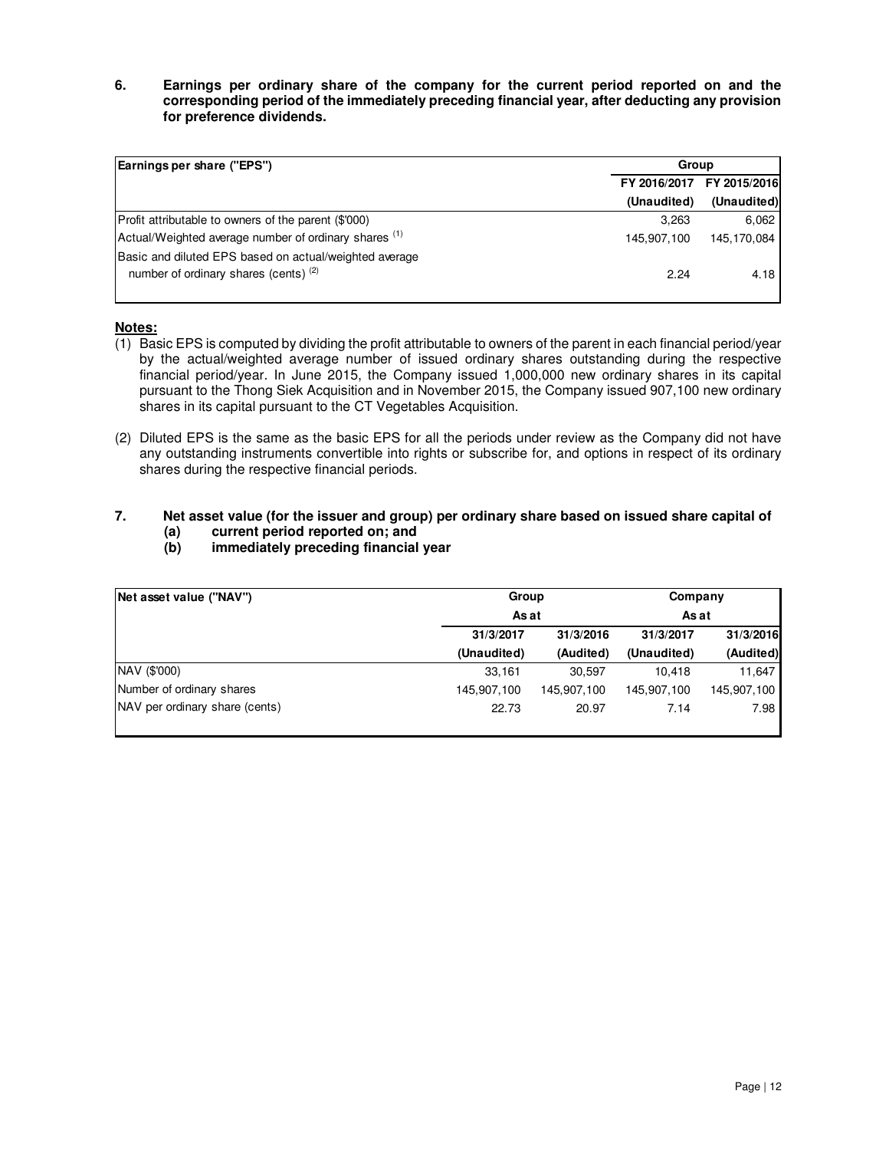**6. Earnings per ordinary share of the company for the current period reported on and the corresponding period of the immediately preceding financial year, after deducting any provision for preference dividends.** 

| Earnings per share ("EPS")                                                                        | Group       |                           |  |  |
|---------------------------------------------------------------------------------------------------|-------------|---------------------------|--|--|
|                                                                                                   |             | FY 2016/2017 FY 2015/2016 |  |  |
|                                                                                                   | (Unaudited) | (Unaudited)               |  |  |
| Profit attributable to owners of the parent (\$'000)                                              | 3.263       | 6.062                     |  |  |
| Actual/Weighted average number of ordinary shares (1)                                             | 145,907,100 | 145,170,084               |  |  |
| Basic and diluted EPS based on actual/weighted average<br>number of ordinary shares (cents) $(2)$ | 2.24        | 4.18                      |  |  |

# **Notes:**

- $(1)$  Basic EPS is computed by dividing the profit attributable to owners of the parent in each financial period/year by the actual/weighted average number of issued ordinary shares outstanding during the respective financial period/year. In June 2015, the Company issued 1,000,000 new ordinary shares in its capital pursuant to the Thong Siek Acquisition and in November 2015, the Company issued 907,100 new ordinary shares in its capital pursuant to the CT Vegetables Acquisition.
- (2) Diluted EPS is the same as the basic EPS for all the periods under review as the Company did not have any outstanding instruments convertible into rights or subscribe for, and options in respect of its ordinary shares during the respective financial periods.

# **7. Net asset value (for the issuer and group) per ordinary share based on issued share capital of**

- **(a) current period reported on; and**
- **(b) immediately preceding financial year**

| Net asset value ("NAV")        | Group       | Company     |             |             |
|--------------------------------|-------------|-------------|-------------|-------------|
|                                | As at       | As at       |             |             |
|                                | 31/3/2017   | 31/3/2016   | 31/3/2017   | 31/3/2016   |
|                                | (Unaudited) | (Audited)   | (Unaudited) | (Audited)   |
| NAV (\$'000)                   | 33,161      | 30,597      | 10.418      | 11,647      |
| Number of ordinary shares      | 145,907,100 | 145.907.100 | 145,907,100 | 145,907,100 |
| NAV per ordinary share (cents) | 22.73       | 20.97       | 7.14        | 7.98        |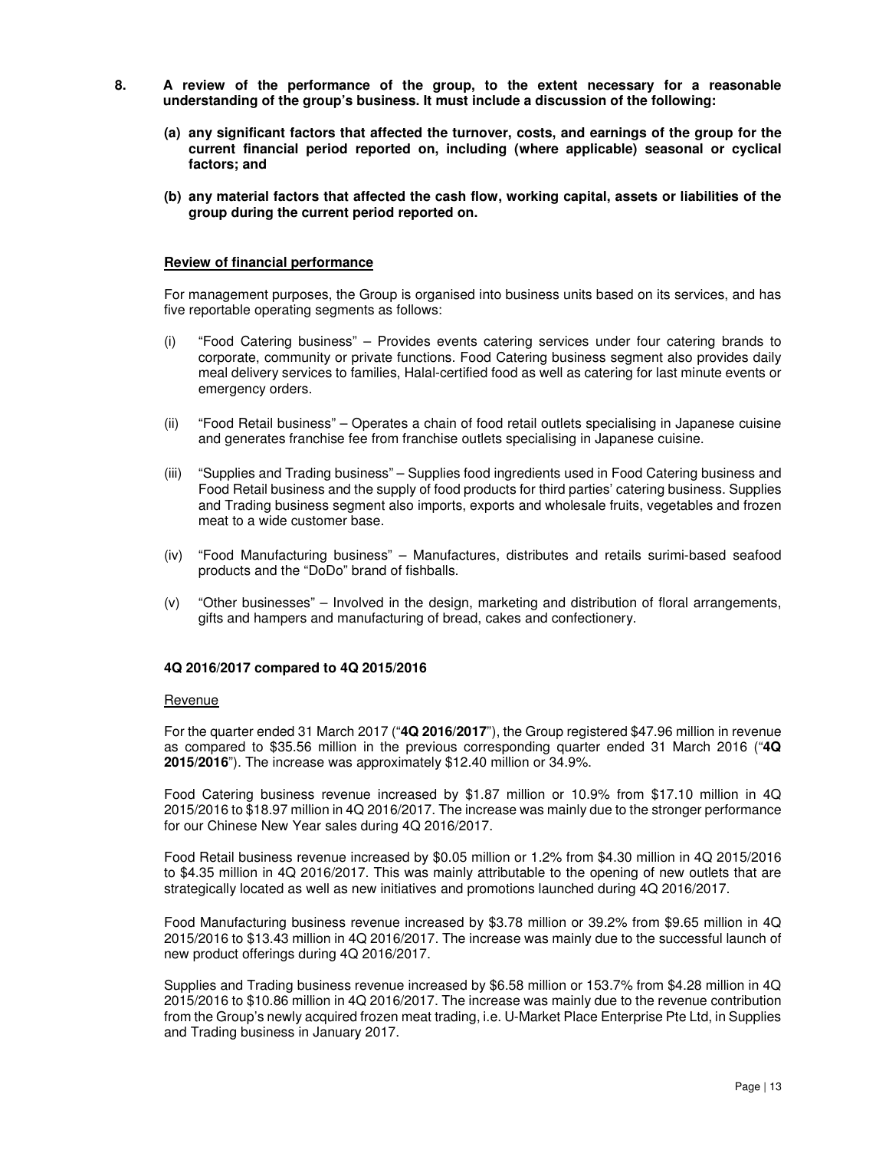- **8. A review of the performance of the group, to the extent necessary for a reasonable understanding of the group's business. It must include a discussion of the following:** 
	- **(a) any significant factors that affected the turnover, costs, and earnings of the group for the current financial period reported on, including (where applicable) seasonal or cyclical factors; and**
	- **(b) any material factors that affected the cash flow, working capital, assets or liabilities of the group during the current period reported on.**

#### **Review of financial performance**

For management purposes, the Group is organised into business units based on its services, and has five reportable operating segments as follows:

- (i) "Food Catering business" Provides events catering services under four catering brands to corporate, community or private functions. Food Catering business segment also provides daily meal delivery services to families, Halal-certified food as well as catering for last minute events or emergency orders.
- (ii) "Food Retail business" Operates a chain of food retail outlets specialising in Japanese cuisine and generates franchise fee from franchise outlets specialising in Japanese cuisine.
- (iii) "Supplies and Trading business" Supplies food ingredients used in Food Catering business and Food Retail business and the supply of food products for third parties' catering business. Supplies and Trading business segment also imports, exports and wholesale fruits, vegetables and frozen meat to a wide customer base.
- (iv) "Food Manufacturing business" Manufactures, distributes and retails surimi-based seafood products and the "DoDo" brand of fishballs.
- (v) "Other businesses" Involved in the design, marketing and distribution of floral arrangements, gifts and hampers and manufacturing of bread, cakes and confectionery.

#### **4Q 2016/2017 compared to 4Q 2015/2016**

#### Revenue

For the quarter ended 31 March 2017 ("**4Q 2016/2017**"), the Group registered \$47.96 million in revenue as compared to \$35.56 million in the previous corresponding quarter ended 31 March 2016 ("**4Q 2015/2016**"). The increase was approximately \$12.40 million or 34.9%.

Food Catering business revenue increased by \$1.87 million or 10.9% from \$17.10 million in 4Q 2015/2016 to \$18.97 million in 4Q 2016/2017. The increase was mainly due to the stronger performance for our Chinese New Year sales during 4Q 2016/2017.

Food Retail business revenue increased by \$0.05 million or 1.2% from \$4.30 million in 4Q 2015/2016 to \$4.35 million in 4Q 2016/2017. This was mainly attributable to the opening of new outlets that are strategically located as well as new initiatives and promotions launched during 4Q 2016/2017.

Food Manufacturing business revenue increased by \$3.78 million or 39.2% from \$9.65 million in 4Q 2015/2016 to \$13.43 million in 4Q 2016/2017. The increase was mainly due to the successful launch of new product offerings during 4Q 2016/2017.

Supplies and Trading business revenue increased by \$6.58 million or 153.7% from \$4.28 million in 4Q 2015/2016 to \$10.86 million in 4Q 2016/2017. The increase was mainly due to the revenue contribution from the Group's newly acquired frozen meat trading, i.e. U-Market Place Enterprise Pte Ltd, in Supplies and Trading business in January 2017.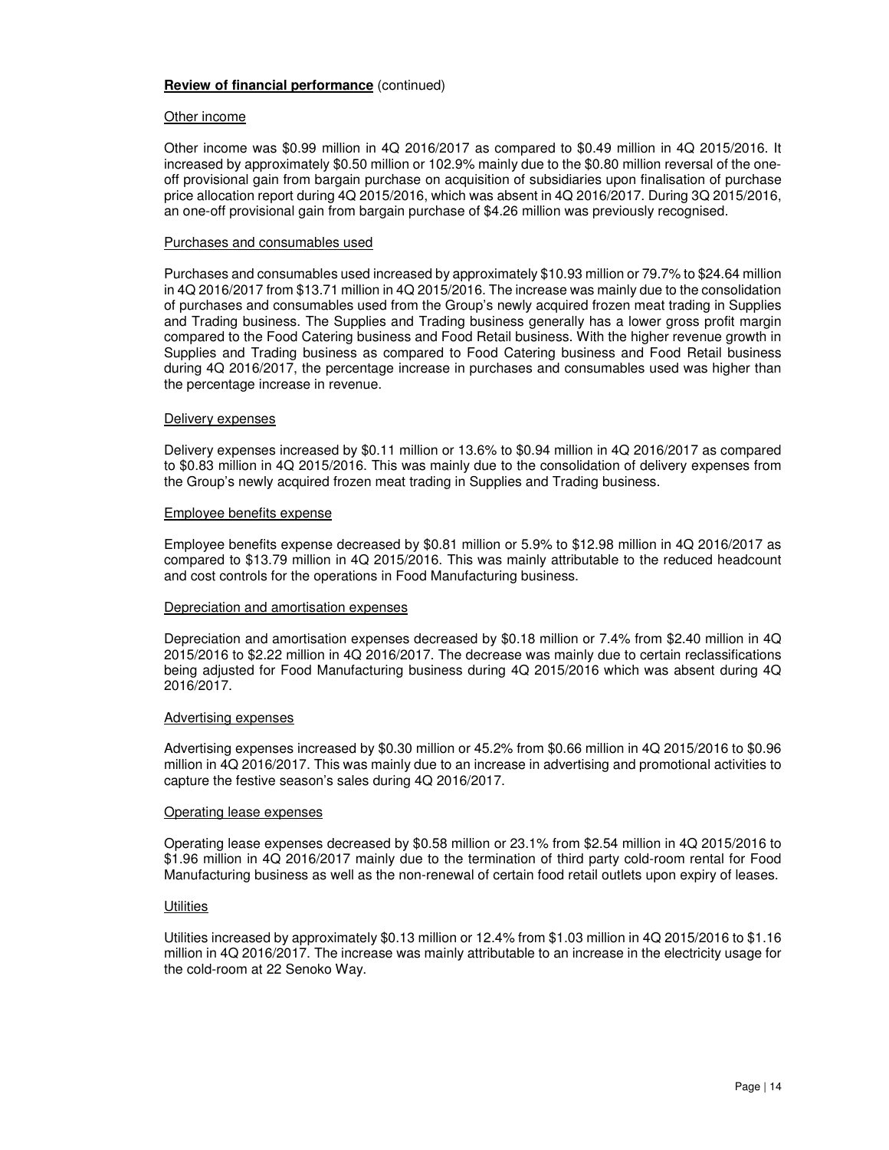#### Other income

Other income was \$0.99 million in 4Q 2016/2017 as compared to \$0.49 million in 4Q 2015/2016. It increased by approximately \$0.50 million or 102.9% mainly due to the \$0.80 million reversal of the oneoff provisional gain from bargain purchase on acquisition of subsidiaries upon finalisation of purchase price allocation report during 4Q 2015/2016, which was absent in 4Q 2016/2017. During 3Q 2015/2016, an one-off provisional gain from bargain purchase of \$4.26 million was previously recognised.

#### Purchases and consumables used

Purchases and consumables used increased by approximately \$10.93 million or 79.7% to \$24.64 million in 4Q 2016/2017 from \$13.71 million in 4Q 2015/2016. The increase was mainly due to the consolidation of purchases and consumables used from the Group's newly acquired frozen meat trading in Supplies and Trading business. The Supplies and Trading business generally has a lower gross profit margin compared to the Food Catering business and Food Retail business. With the higher revenue growth in Supplies and Trading business as compared to Food Catering business and Food Retail business during 4Q 2016/2017, the percentage increase in purchases and consumables used was higher than the percentage increase in revenue.

#### Delivery expenses

Delivery expenses increased by \$0.11 million or 13.6% to \$0.94 million in 4Q 2016/2017 as compared to \$0.83 million in 4Q 2015/2016. This was mainly due to the consolidation of delivery expenses from the Group's newly acquired frozen meat trading in Supplies and Trading business.

#### Employee benefits expense

Employee benefits expense decreased by \$0.81 million or 5.9% to \$12.98 million in 4Q 2016/2017 as compared to \$13.79 million in 4Q 2015/2016. This was mainly attributable to the reduced headcount and cost controls for the operations in Food Manufacturing business.

#### Depreciation and amortisation expenses

Depreciation and amortisation expenses decreased by \$0.18 million or 7.4% from \$2.40 million in 4Q 2015/2016 to \$2.22 million in 4Q 2016/2017. The decrease was mainly due to certain reclassifications being adjusted for Food Manufacturing business during 4Q 2015/2016 which was absent during 4Q 2016/2017.

#### Advertising expenses

Advertising expenses increased by \$0.30 million or 45.2% from \$0.66 million in 4Q 2015/2016 to \$0.96 million in 4Q 2016/2017. This was mainly due to an increase in advertising and promotional activities to capture the festive season's sales during 4Q 2016/2017.

#### Operating lease expenses

Operating lease expenses decreased by \$0.58 million or 23.1% from \$2.54 million in 4Q 2015/2016 to \$1.96 million in 4Q 2016/2017 mainly due to the termination of third party cold-room rental for Food Manufacturing business as well as the non-renewal of certain food retail outlets upon expiry of leases.

#### **Utilities**

Utilities increased by approximately \$0.13 million or 12.4% from \$1.03 million in 4Q 2015/2016 to \$1.16 million in 4Q 2016/2017. The increase was mainly attributable to an increase in the electricity usage for the cold-room at 22 Senoko Way.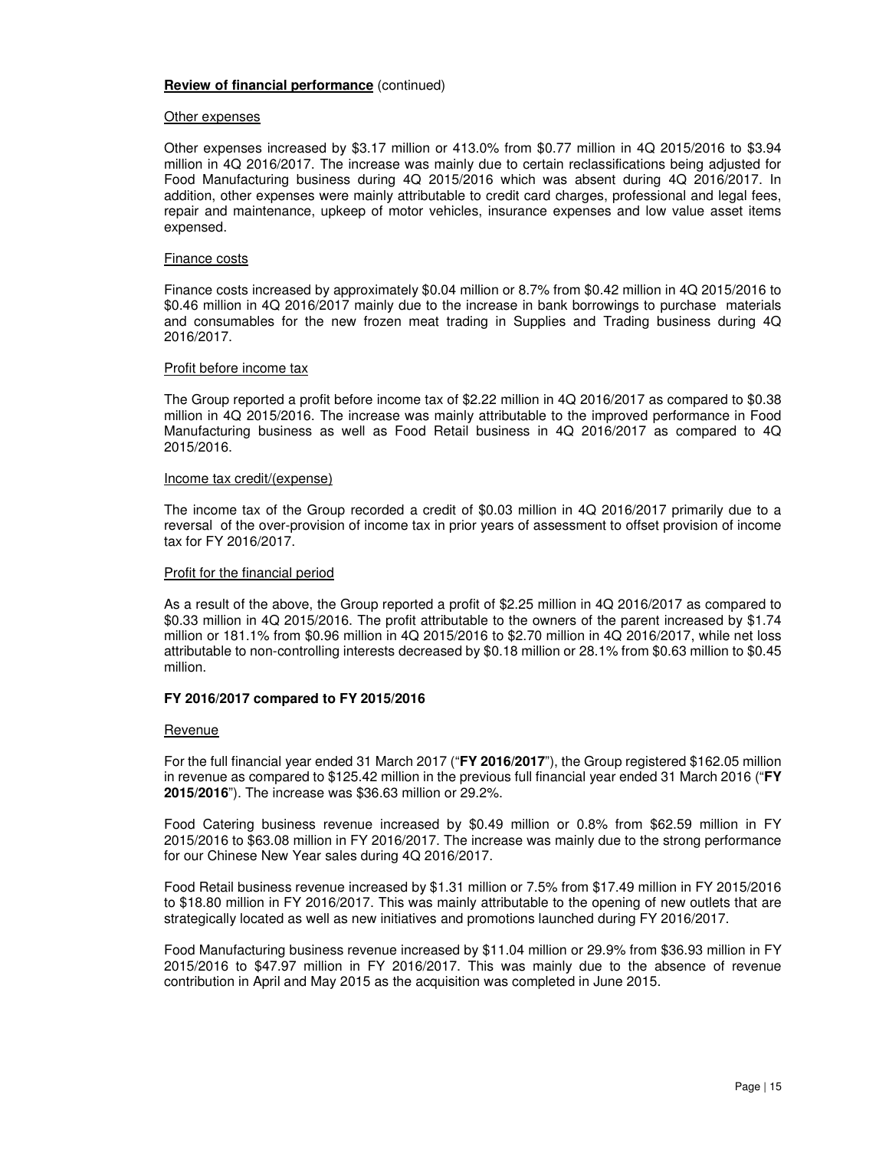#### Other expenses

Other expenses increased by \$3.17 million or 413.0% from \$0.77 million in 4Q 2015/2016 to \$3.94 million in 4Q 2016/2017. The increase was mainly due to certain reclassifications being adjusted for Food Manufacturing business during 4Q 2015/2016 which was absent during 4Q 2016/2017. In addition, other expenses were mainly attributable to credit card charges, professional and legal fees, repair and maintenance, upkeep of motor vehicles, insurance expenses and low value asset items expensed.

#### Finance costs

Finance costs increased by approximately \$0.04 million or 8.7% from \$0.42 million in 4Q 2015/2016 to \$0.46 million in 4Q 2016/2017 mainly due to the increase in bank borrowings to purchase materials and consumables for the new frozen meat trading in Supplies and Trading business during 4Q 2016/2017.

#### Profit before income tax

The Group reported a profit before income tax of \$2.22 million in 4Q 2016/2017 as compared to \$0.38 million in 4Q 2015/2016. The increase was mainly attributable to the improved performance in Food Manufacturing business as well as Food Retail business in 4Q 2016/2017 as compared to 4Q 2015/2016.

#### Income tax credit/(expense)

The income tax of the Group recorded a credit of \$0.03 million in 4Q 2016/2017 primarily due to a reversal of the over-provision of income tax in prior years of assessment to offset provision of income tax for FY 2016/2017.

#### Profit for the financial period

As a result of the above, the Group reported a profit of \$2.25 million in 4Q 2016/2017 as compared to \$0.33 million in 4Q 2015/2016. The profit attributable to the owners of the parent increased by \$1.74 million or 181.1% from \$0.96 million in 4Q 2015/2016 to \$2.70 million in 4Q 2016/2017, while net loss attributable to non-controlling interests decreased by \$0.18 million or 28.1% from \$0.63 million to \$0.45 million.

#### **FY 2016/2017 compared to FY 2015/2016**

#### Revenue

For the full financial year ended 31 March 2017 ("**FY 2016/2017**"), the Group registered \$162.05 million in revenue as compared to \$125.42 million in the previous full financial year ended 31 March 2016 ("**FY 2015/2016**"). The increase was \$36.63 million or 29.2%.

Food Catering business revenue increased by \$0.49 million or 0.8% from \$62.59 million in FY 2015/2016 to \$63.08 million in FY 2016/2017. The increase was mainly due to the strong performance for our Chinese New Year sales during 4Q 2016/2017.

Food Retail business revenue increased by \$1.31 million or 7.5% from \$17.49 million in FY 2015/2016 to \$18.80 million in FY 2016/2017. This was mainly attributable to the opening of new outlets that are strategically located as well as new initiatives and promotions launched during FY 2016/2017.

Food Manufacturing business revenue increased by \$11.04 million or 29.9% from \$36.93 million in FY 2015/2016 to \$47.97 million in FY 2016/2017. This was mainly due to the absence of revenue contribution in April and May 2015 as the acquisition was completed in June 2015.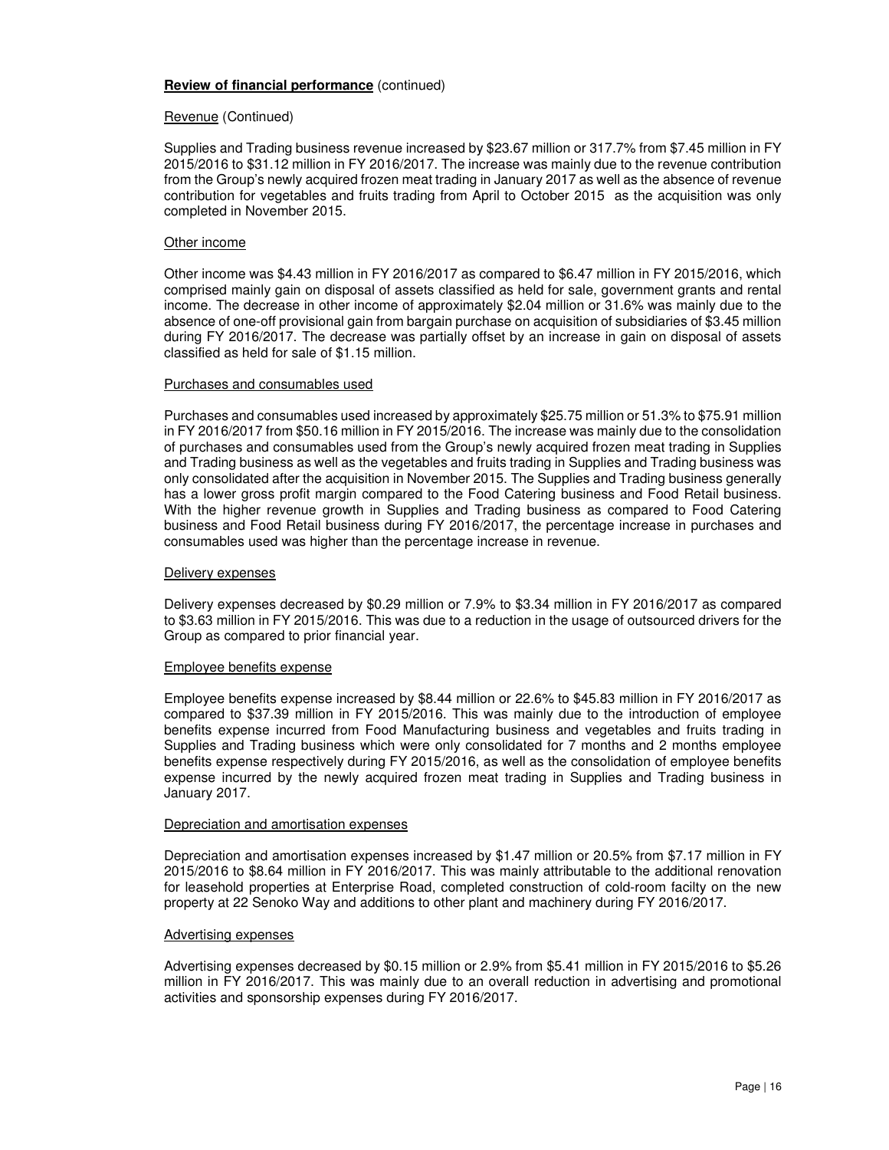#### Revenue (Continued)

Supplies and Trading business revenue increased by \$23.67 million or 317.7% from \$7.45 million in FY 2015/2016 to \$31.12 million in FY 2016/2017. The increase was mainly due to the revenue contribution from the Group's newly acquired frozen meat trading in January 2017 as well as the absence of revenue contribution for vegetables and fruits trading from April to October 2015 as the acquisition was only completed in November 2015.

#### Other income

Other income was \$4.43 million in FY 2016/2017 as compared to \$6.47 million in FY 2015/2016, which comprised mainly gain on disposal of assets classified as held for sale, government grants and rental income. The decrease in other income of approximately \$2.04 million or 31.6% was mainly due to the absence of one-off provisional gain from bargain purchase on acquisition of subsidiaries of \$3.45 million during FY 2016/2017. The decrease was partially offset by an increase in gain on disposal of assets classified as held for sale of \$1.15 million.

#### Purchases and consumables used

Purchases and consumables used increased by approximately \$25.75 million or 51.3% to \$75.91 million in FY 2016/2017 from \$50.16 million in FY 2015/2016. The increase was mainly due to the consolidation of purchases and consumables used from the Group's newly acquired frozen meat trading in Supplies and Trading business as well as the vegetables and fruits trading in Supplies and Trading business was only consolidated after the acquisition in November 2015. The Supplies and Trading business generally has a lower gross profit margin compared to the Food Catering business and Food Retail business. With the higher revenue growth in Supplies and Trading business as compared to Food Catering business and Food Retail business during FY 2016/2017, the percentage increase in purchases and consumables used was higher than the percentage increase in revenue.

#### Delivery expenses

Delivery expenses decreased by \$0.29 million or 7.9% to \$3.34 million in FY 2016/2017 as compared to \$3.63 million in FY 2015/2016. This was due to a reduction in the usage of outsourced drivers for the Group as compared to prior financial year.

#### Employee benefits expense

Employee benefits expense increased by \$8.44 million or 22.6% to \$45.83 million in FY 2016/2017 as compared to \$37.39 million in FY 2015/2016. This was mainly due to the introduction of employee benefits expense incurred from Food Manufacturing business and vegetables and fruits trading in Supplies and Trading business which were only consolidated for 7 months and 2 months employee benefits expense respectively during FY 2015/2016, as well as the consolidation of employee benefits expense incurred by the newly acquired frozen meat trading in Supplies and Trading business in January 2017.

#### Depreciation and amortisation expenses

Depreciation and amortisation expenses increased by \$1.47 million or 20.5% from \$7.17 million in FY 2015/2016 to \$8.64 million in FY 2016/2017. This was mainly attributable to the additional renovation for leasehold properties at Enterprise Road, completed construction of cold-room facilty on the new property at 22 Senoko Way and additions to other plant and machinery during FY 2016/2017.

#### Advertising expenses

Advertising expenses decreased by \$0.15 million or 2.9% from \$5.41 million in FY 2015/2016 to \$5.26 million in FY 2016/2017. This was mainly due to an overall reduction in advertising and promotional activities and sponsorship expenses during FY 2016/2017.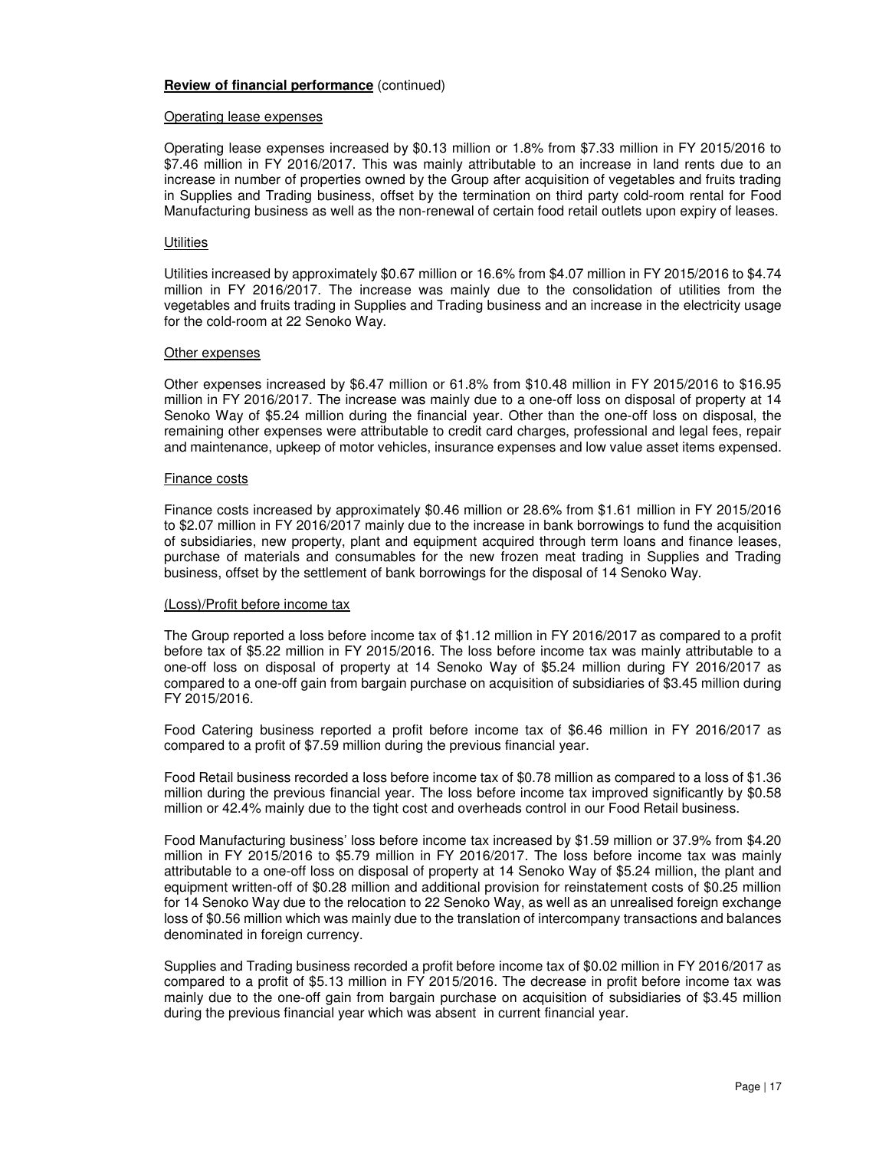#### Operating lease expenses

Operating lease expenses increased by \$0.13 million or 1.8% from \$7.33 million in FY 2015/2016 to \$7.46 million in FY 2016/2017. This was mainly attributable to an increase in land rents due to an increase in number of properties owned by the Group after acquisition of vegetables and fruits trading in Supplies and Trading business, offset by the termination on third party cold-room rental for Food Manufacturing business as well as the non-renewal of certain food retail outlets upon expiry of leases.

#### **Utilities**

Utilities increased by approximately \$0.67 million or 16.6% from \$4.07 million in FY 2015/2016 to \$4.74 million in FY 2016/2017. The increase was mainly due to the consolidation of utilities from the vegetables and fruits trading in Supplies and Trading business and an increase in the electricity usage for the cold-room at 22 Senoko Way.

#### Other expenses

Other expenses increased by \$6.47 million or 61.8% from \$10.48 million in FY 2015/2016 to \$16.95 million in FY 2016/2017. The increase was mainly due to a one-off loss on disposal of property at 14 Senoko Way of \$5.24 million during the financial year. Other than the one-off loss on disposal, the remaining other expenses were attributable to credit card charges, professional and legal fees, repair and maintenance, upkeep of motor vehicles, insurance expenses and low value asset items expensed.

#### Finance costs

Finance costs increased by approximately \$0.46 million or 28.6% from \$1.61 million in FY 2015/2016 to \$2.07 million in FY 2016/2017 mainly due to the increase in bank borrowings to fund the acquisition of subsidiaries, new property, plant and equipment acquired through term loans and finance leases, purchase of materials and consumables for the new frozen meat trading in Supplies and Trading business, offset by the settlement of bank borrowings for the disposal of 14 Senoko Way.

#### (Loss)/Profit before income tax

The Group reported a loss before income tax of \$1.12 million in FY 2016/2017 as compared to a profit before tax of \$5.22 million in FY 2015/2016. The loss before income tax was mainly attributable to a one-off loss on disposal of property at 14 Senoko Way of \$5.24 million during FY 2016/2017 as compared to a one-off gain from bargain purchase on acquisition of subsidiaries of \$3.45 million during FY 2015/2016.

Food Catering business reported a profit before income tax of \$6.46 million in FY 2016/2017 as compared to a profit of \$7.59 million during the previous financial year.

Food Retail business recorded a loss before income tax of \$0.78 million as compared to a loss of \$1.36 million during the previous financial year. The loss before income tax improved significantly by \$0.58 million or 42.4% mainly due to the tight cost and overheads control in our Food Retail business.

Food Manufacturing business' loss before income tax increased by \$1.59 million or 37.9% from \$4.20 million in FY 2015/2016 to \$5.79 million in FY 2016/2017. The loss before income tax was mainly attributable to a one-off loss on disposal of property at 14 Senoko Way of \$5.24 million, the plant and equipment written-off of \$0.28 million and additional provision for reinstatement costs of \$0.25 million for 14 Senoko Way due to the relocation to 22 Senoko Way, as well as an unrealised foreign exchange loss of \$0.56 million which was mainly due to the translation of intercompany transactions and balances denominated in foreign currency.

Supplies and Trading business recorded a profit before income tax of \$0.02 million in FY 2016/2017 as compared to a profit of \$5.13 million in FY 2015/2016. The decrease in profit before income tax was mainly due to the one-off gain from bargain purchase on acquisition of subsidiaries of \$3.45 million during the previous financial year which was absent in current financial year.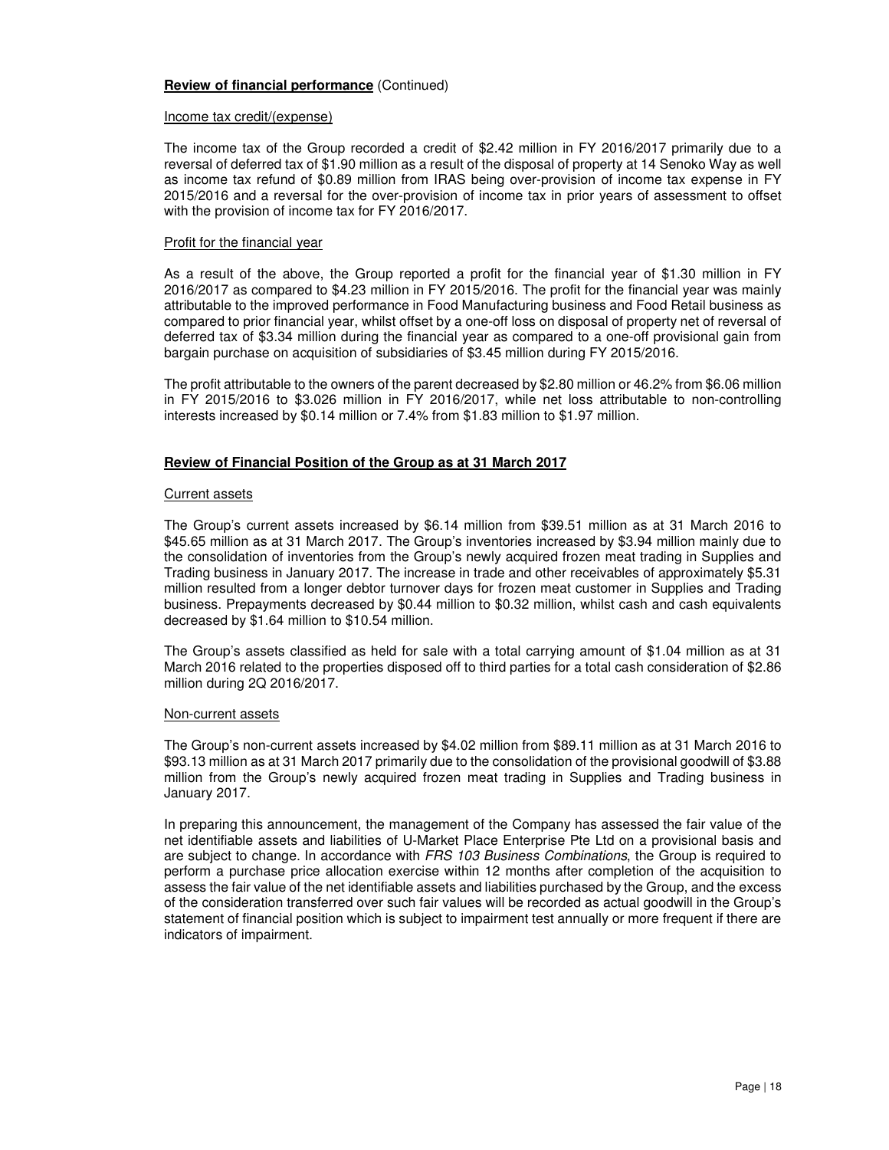#### Income tax credit/(expense)

The income tax of the Group recorded a credit of \$2.42 million in FY 2016/2017 primarily due to a reversal of deferred tax of \$1.90 million as a result of the disposal of property at 14 Senoko Way as well as income tax refund of \$0.89 million from IRAS being over-provision of income tax expense in FY 2015/2016 and a reversal for the over-provision of income tax in prior years of assessment to offset with the provision of income tax for FY 2016/2017.

#### Profit for the financial year

As a result of the above, the Group reported a profit for the financial year of \$1.30 million in FY 2016/2017 as compared to \$4.23 million in FY 2015/2016. The profit for the financial year was mainly attributable to the improved performance in Food Manufacturing business and Food Retail business as compared to prior financial year, whilst offset by a one-off loss on disposal of property net of reversal of deferred tax of \$3.34 million during the financial year as compared to a one-off provisional gain from bargain purchase on acquisition of subsidiaries of \$3.45 million during FY 2015/2016.

The profit attributable to the owners of the parent decreased by \$2.80 million or 46.2% from \$6.06 million in FY 2015/2016 to \$3.026 million in FY 2016/2017, while net loss attributable to non-controlling interests increased by \$0.14 million or 7.4% from \$1.83 million to \$1.97 million.

#### **Review of Financial Position of the Group as at 31 March 2017**

#### Current assets

The Group's current assets increased by \$6.14 million from \$39.51 million as at 31 March 2016 to \$45.65 million as at 31 March 2017. The Group's inventories increased by \$3.94 million mainly due to the consolidation of inventories from the Group's newly acquired frozen meat trading in Supplies and Trading business in January 2017. The increase in trade and other receivables of approximately \$5.31 million resulted from a longer debtor turnover days for frozen meat customer in Supplies and Trading business. Prepayments decreased by \$0.44 million to \$0.32 million, whilst cash and cash equivalents decreased by \$1.64 million to \$10.54 million.

The Group's assets classified as held for sale with a total carrying amount of \$1.04 million as at 31 March 2016 related to the properties disposed off to third parties for a total cash consideration of \$2.86 million during 2Q 2016/2017.

#### Non-current assets

The Group's non-current assets increased by \$4.02 million from \$89.11 million as at 31 March 2016 to \$93.13 million as at 31 March 2017 primarily due to the consolidation of the provisional goodwill of \$3.88 million from the Group's newly acquired frozen meat trading in Supplies and Trading business in January 2017.

In preparing this announcement, the management of the Company has assessed the fair value of the net identifiable assets and liabilities of U-Market Place Enterprise Pte Ltd on a provisional basis and are subject to change. In accordance with FRS 103 Business Combinations, the Group is required to perform a purchase price allocation exercise within 12 months after completion of the acquisition to assess the fair value of the net identifiable assets and liabilities purchased by the Group, and the excess of the consideration transferred over such fair values will be recorded as actual goodwill in the Group's statement of financial position which is subject to impairment test annually or more frequent if there are indicators of impairment.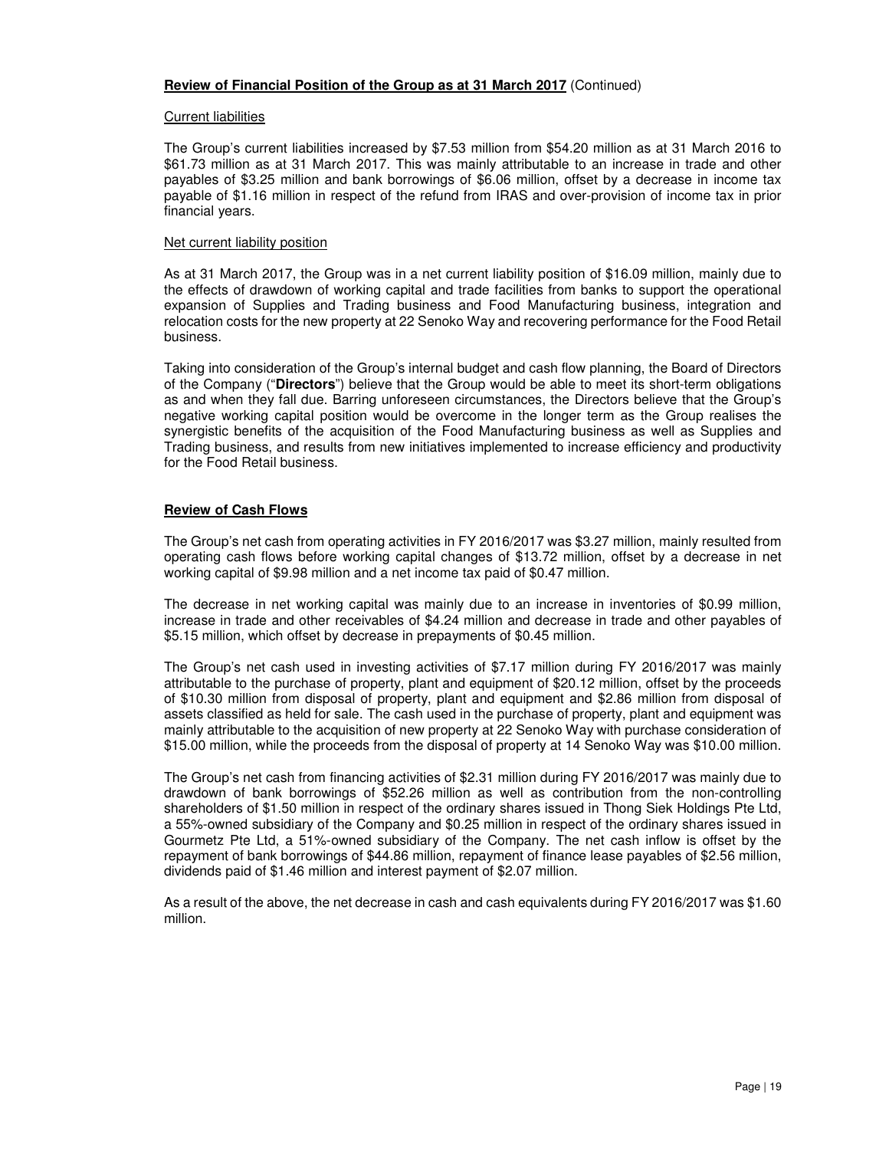#### **Review of Financial Position of the Group as at 31 March 2017** (Continued)

#### Current liabilities

The Group's current liabilities increased by \$7.53 million from \$54.20 million as at 31 March 2016 to \$61.73 million as at 31 March 2017. This was mainly attributable to an increase in trade and other payables of \$3.25 million and bank borrowings of \$6.06 million, offset by a decrease in income tax payable of \$1.16 million in respect of the refund from IRAS and over-provision of income tax in prior financial years.

#### Net current liability position

As at 31 March 2017, the Group was in a net current liability position of \$16.09 million, mainly due to the effects of drawdown of working capital and trade facilities from banks to support the operational expansion of Supplies and Trading business and Food Manufacturing business, integration and relocation costs for the new property at 22 Senoko Way and recovering performance for the Food Retail business.

Taking into consideration of the Group's internal budget and cash flow planning, the Board of Directors of the Company ("**Directors**") believe that the Group would be able to meet its short-term obligations as and when they fall due. Barring unforeseen circumstances, the Directors believe that the Group's negative working capital position would be overcome in the longer term as the Group realises the synergistic benefits of the acquisition of the Food Manufacturing business as well as Supplies and Trading business, and results from new initiatives implemented to increase efficiency and productivity for the Food Retail business.

#### **Review of Cash Flows**

The Group's net cash from operating activities in FY 2016/2017 was \$3.27 million, mainly resulted from operating cash flows before working capital changes of \$13.72 million, offset by a decrease in net working capital of \$9.98 million and a net income tax paid of \$0.47 million.

The decrease in net working capital was mainly due to an increase in inventories of \$0.99 million, increase in trade and other receivables of \$4.24 million and decrease in trade and other payables of \$5.15 million, which offset by decrease in prepayments of \$0.45 million.

The Group's net cash used in investing activities of \$7.17 million during FY 2016/2017 was mainly attributable to the purchase of property, plant and equipment of \$20.12 million, offset by the proceeds of \$10.30 million from disposal of property, plant and equipment and \$2.86 million from disposal of assets classified as held for sale. The cash used in the purchase of property, plant and equipment was mainly attributable to the acquisition of new property at 22 Senoko Way with purchase consideration of \$15.00 million, while the proceeds from the disposal of property at 14 Senoko Way was \$10.00 million.

The Group's net cash from financing activities of \$2.31 million during FY 2016/2017 was mainly due to drawdown of bank borrowings of \$52.26 million as well as contribution from the non-controlling shareholders of \$1.50 million in respect of the ordinary shares issued in Thong Siek Holdings Pte Ltd, a 55%-owned subsidiary of the Company and \$0.25 million in respect of the ordinary shares issued in Gourmetz Pte Ltd, a 51%-owned subsidiary of the Company. The net cash inflow is offset by the repayment of bank borrowings of \$44.86 million, repayment of finance lease payables of \$2.56 million, dividends paid of \$1.46 million and interest payment of \$2.07 million.

As a result of the above, the net decrease in cash and cash equivalents during FY 2016/2017 was \$1.60 million.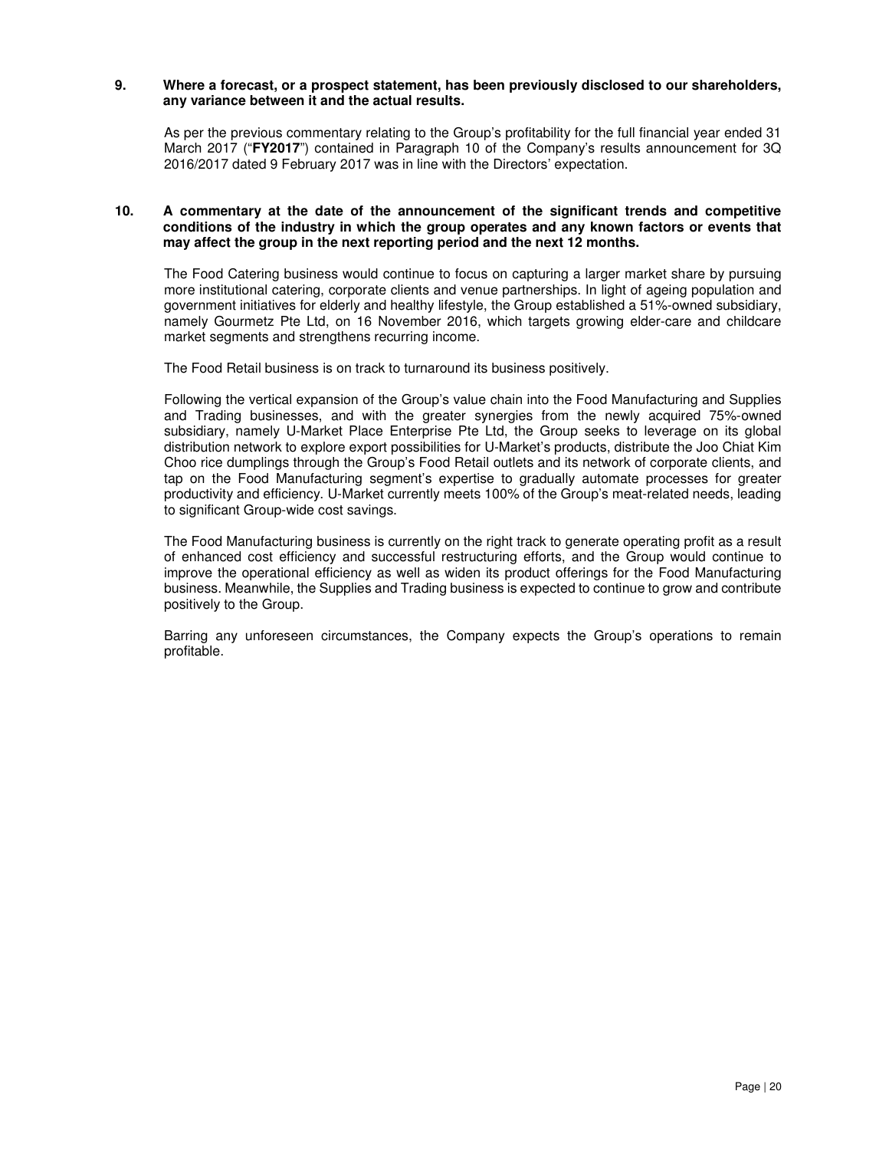#### **9. Where a forecast, or a prospect statement, has been previously disclosed to our shareholders, any variance between it and the actual results.**

As per the previous commentary relating to the Group's profitability for the full financial year ended 31 March 2017 ("**FY2017**") contained in Paragraph 10 of the Company's results announcement for 3Q 2016/2017 dated 9 February 2017 was in line with the Directors' expectation.

#### **10. A commentary at the date of the announcement of the significant trends and competitive conditions of the industry in which the group operates and any known factors or events that may affect the group in the next reporting period and the next 12 months.**

The Food Catering business would continue to focus on capturing a larger market share by pursuing more institutional catering, corporate clients and venue partnerships. In light of ageing population and government initiatives for elderly and healthy lifestyle, the Group established a 51%-owned subsidiary, namely Gourmetz Pte Ltd, on 16 November 2016, which targets growing elder-care and childcare market segments and strengthens recurring income.

The Food Retail business is on track to turnaround its business positively.

Following the vertical expansion of the Group's value chain into the Food Manufacturing and Supplies and Trading businesses, and with the greater synergies from the newly acquired 75%-owned subsidiary, namely U-Market Place Enterprise Pte Ltd, the Group seeks to leverage on its global distribution network to explore export possibilities for U-Market's products, distribute the Joo Chiat Kim Choo rice dumplings through the Group's Food Retail outlets and its network of corporate clients, and tap on the Food Manufacturing segment's expertise to gradually automate processes for greater productivity and efficiency. U-Market currently meets 100% of the Group's meat-related needs, leading to significant Group-wide cost savings.

The Food Manufacturing business is currently on the right track to generate operating profit as a result of enhanced cost efficiency and successful restructuring efforts, and the Group would continue to improve the operational efficiency as well as widen its product offerings for the Food Manufacturing business. Meanwhile, the Supplies and Trading business is expected to continue to grow and contribute positively to the Group.

Barring any unforeseen circumstances, the Company expects the Group's operations to remain profitable.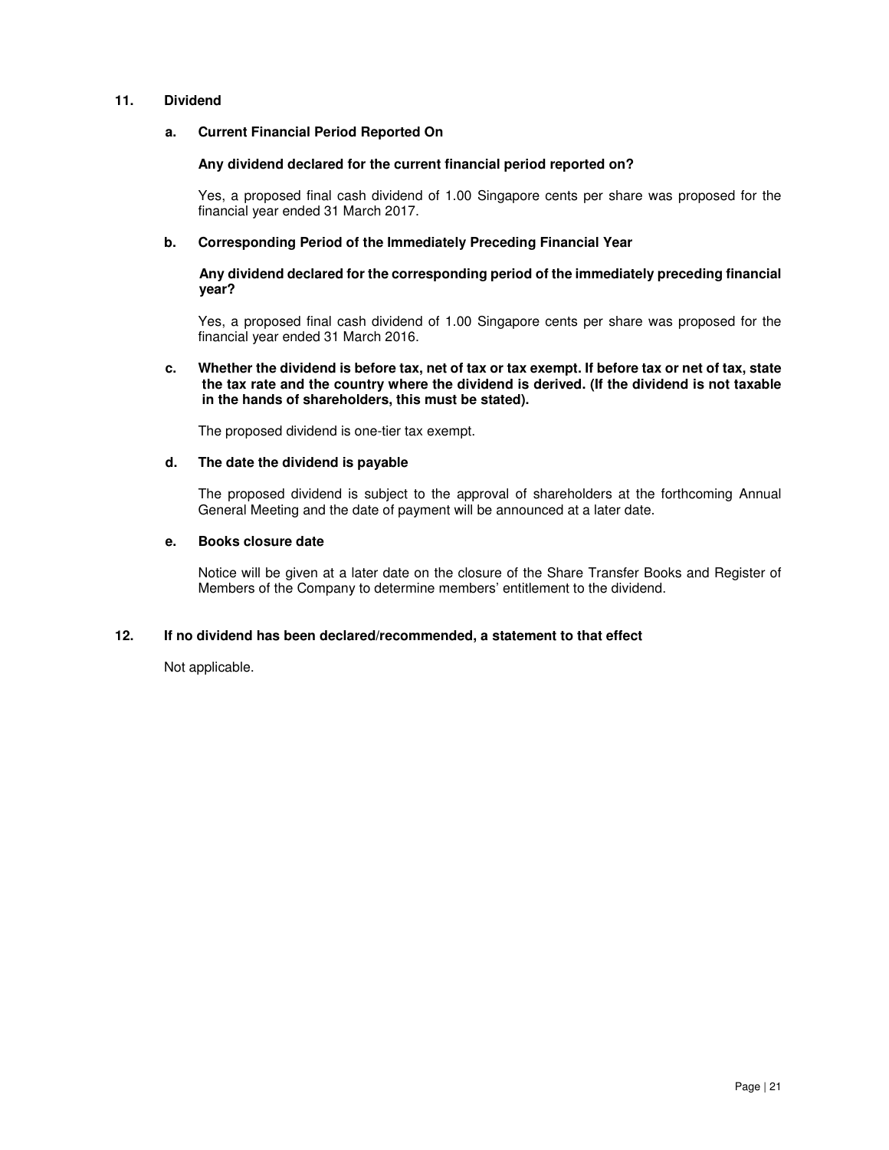#### **11. Dividend**

#### **a. Current Financial Period Reported On**

#### **Any dividend declared for the current financial period reported on?**

Yes, a proposed final cash dividend of 1.00 Singapore cents per share was proposed for the financial year ended 31 March 2017.

#### **b. Corresponding Period of the Immediately Preceding Financial Year**

#### **Any dividend declared for the corresponding period of the immediately preceding financial year?**

Yes, a proposed final cash dividend of 1.00 Singapore cents per share was proposed for the financial year ended 31 March 2016.

#### **c. Whether the dividend is before tax, net of tax or tax exempt. If before tax or net of tax, state the tax rate and the country where the dividend is derived. (If the dividend is not taxable in the hands of shareholders, this must be stated).**

The proposed dividend is one-tier tax exempt.

#### **d. The date the dividend is payable**

The proposed dividend is subject to the approval of shareholders at the forthcoming Annual General Meeting and the date of payment will be announced at a later date.

#### **e. Books closure date**

Notice will be given at a later date on the closure of the Share Transfer Books and Register of Members of the Company to determine members' entitlement to the dividend.

# **12. If no dividend has been declared/recommended, a statement to that effect**

Not applicable.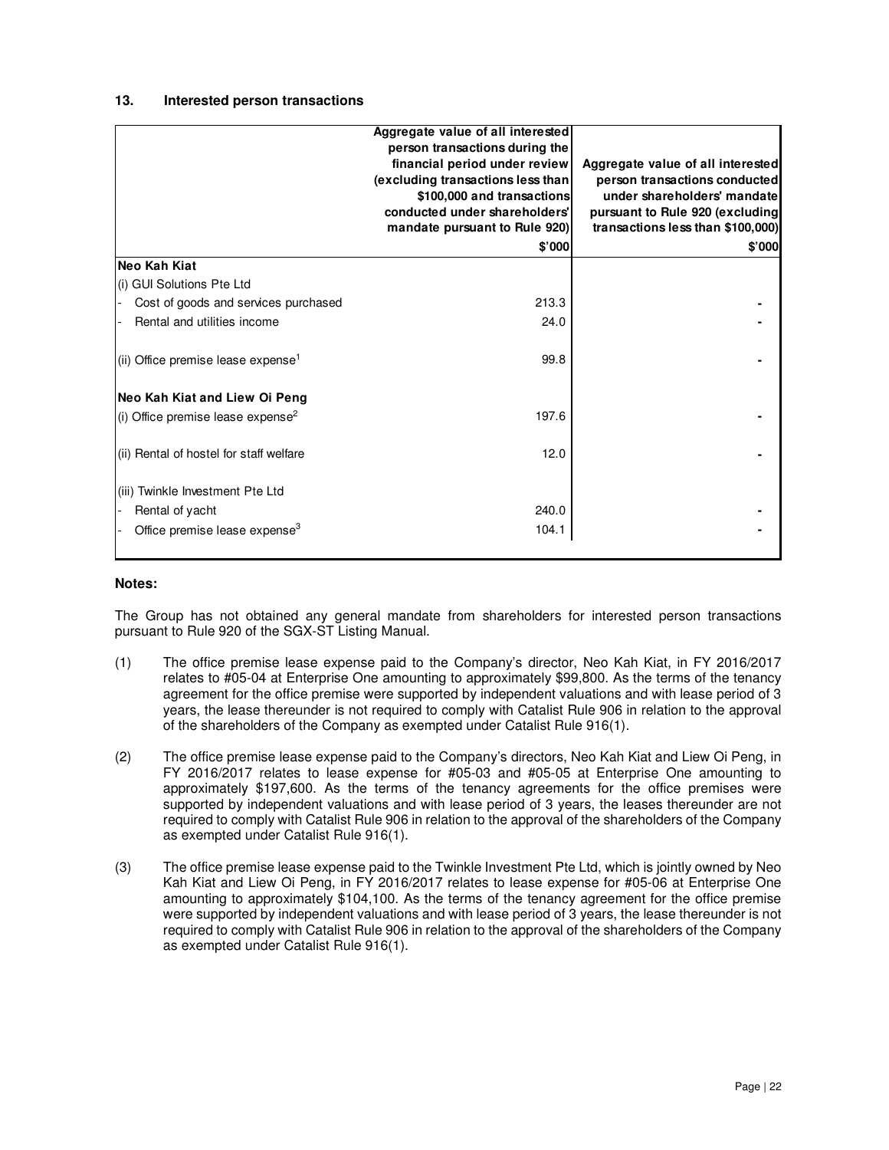### **13. Interested person transactions**

|                                                | Aggregate value of all interested<br>person transactions during the |                                   |
|------------------------------------------------|---------------------------------------------------------------------|-----------------------------------|
|                                                | financial period under review                                       | Aggregate value of all interested |
|                                                | (excluding transactions less than                                   | person transactions conducted     |
|                                                | \$100,000 and transactions                                          | under shareholders' mandate       |
|                                                | conducted under shareholders'                                       | pursuant to Rule 920 (excluding   |
|                                                | mandate pursuant to Rule 920)                                       | transactions less than \$100,000) |
|                                                | \$'000                                                              | \$'000                            |
| Neo Kah Kiat                                   |                                                                     |                                   |
| (i) GUI Solutions Pte Ltd                      |                                                                     |                                   |
| Cost of goods and services purchased           | 213.3                                                               |                                   |
| Rental and utilities income                    | 24.0                                                                |                                   |
| (ii) Office premise lease expense <sup>1</sup> | 99.8                                                                |                                   |
| Neo Kah Kiat and Liew Oi Peng                  |                                                                     |                                   |
| (i) Office premise lease expense <sup>2</sup>  | 197.6                                                               |                                   |
| (ii) Rental of hostel for staff welfare        | 12.0                                                                |                                   |
| (iii) Twinkle Investment Pte Ltd               |                                                                     |                                   |
| Rental of yacht                                | 240.0                                                               |                                   |
| Office premise lease expense <sup>3</sup>      | 104.1                                                               |                                   |

# **Notes:**

The Group has not obtained any general mandate from shareholders for interested person transactions pursuant to Rule 920 of the SGX-ST Listing Manual.

- (1) The office premise lease expense paid to the Company's director, Neo Kah Kiat, in FY 2016/2017 relates to #05-04 at Enterprise One amounting to approximately \$99,800. As the terms of the tenancy agreement for the office premise were supported by independent valuations and with lease period of 3 years, the lease thereunder is not required to comply with Catalist Rule 906 in relation to the approval of the shareholders of the Company as exempted under Catalist Rule 916(1).
- (2) The office premise lease expense paid to the Company's directors, Neo Kah Kiat and Liew Oi Peng, in FY 2016/2017 relates to lease expense for #05-03 and #05-05 at Enterprise One amounting to approximately \$197,600. As the terms of the tenancy agreements for the office premises were supported by independent valuations and with lease period of 3 years, the leases thereunder are not required to comply with Catalist Rule 906 in relation to the approval of the shareholders of the Company as exempted under Catalist Rule 916(1).
- (3) The office premise lease expense paid to the Twinkle Investment Pte Ltd, which is jointly owned by Neo Kah Kiat and Liew Oi Peng, in FY 2016/2017 relates to lease expense for #05-06 at Enterprise One amounting to approximately \$104,100. As the terms of the tenancy agreement for the office premise were supported by independent valuations and with lease period of 3 years, the lease thereunder is not required to comply with Catalist Rule 906 in relation to the approval of the shareholders of the Company as exempted under Catalist Rule 916(1).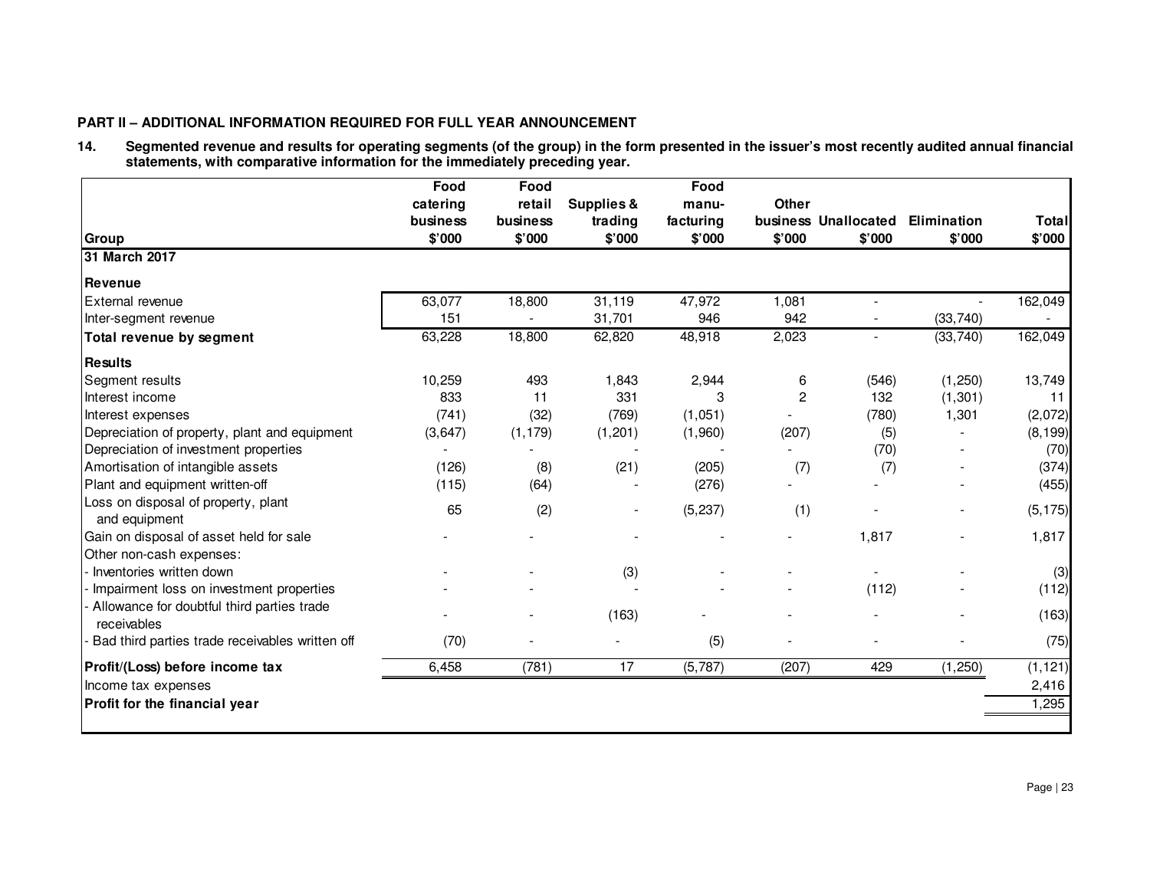# **PART II – ADDITIONAL INFORMATION REQUIRED FOR FULL YEAR ANNOUNCEMENT**

14. Segmented revenue and results for operating segments (of the group) in the form presented in the issuer's most recently audited annual financial<br>statements, with comparative information for the immediately preceding ye

| <b>Group</b>                                         | Food<br>catering<br>business<br>\$'000 | Food<br>retail<br>business<br>\$'000 | <b>Supplies &amp;</b><br>trading<br>\$'000 | Food<br>manu-<br>facturing<br>\$'000 | <b>Other</b><br>\$'000 | business Unallocated<br>\$'000 | Elimination<br>\$'000 | <b>Total</b><br>\$'000 |
|------------------------------------------------------|----------------------------------------|--------------------------------------|--------------------------------------------|--------------------------------------|------------------------|--------------------------------|-----------------------|------------------------|
| 31 March 2017                                        |                                        |                                      |                                            |                                      |                        |                                |                       |                        |
| Revenue                                              |                                        |                                      |                                            |                                      |                        |                                |                       |                        |
| External revenue                                     | 63,077                                 | 18,800                               | 31,119                                     | 47,972                               | 1,081                  |                                |                       | 162,049                |
| Inter-segment revenue                                | 151                                    |                                      | 31,701                                     | 946                                  | 942                    |                                | (33, 740)             |                        |
| Total revenue by segment                             | 63,228                                 | 18,800                               | 62,820                                     | 48,918                               | 2,023                  |                                | (33, 740)             | 162,049                |
| <b>Results</b>                                       |                                        |                                      |                                            |                                      |                        |                                |                       |                        |
| Segment results                                      | 10,259                                 | 493                                  | 1,843                                      | 2,944                                | 6                      | (546)                          | (1,250)               | 13,749                 |
| Interest income                                      | 833                                    | 11                                   | 331                                        | 3                                    | $\overline{c}$         | 132                            | (1, 301)              | 11                     |
| Interest expenses                                    | (741)                                  | (32)                                 | (769)                                      | (1,051)                              |                        | (780)                          | 1,301                 | (2,072)                |
| Depreciation of property, plant and equipment        | (3,647)                                | (1, 179)                             | (1,201)                                    | (1,960)                              | (207)                  | (5)                            |                       | (8, 199)               |
| Depreciation of investment properties                |                                        |                                      |                                            |                                      |                        | (70)                           |                       | (70)                   |
| Amortisation of intangible assets                    | (126)                                  | (8)                                  | (21)                                       | (205)                                | (7)                    | (7)                            |                       | (374)                  |
| Plant and equipment written-off                      | (115)                                  | (64)                                 |                                            | (276)                                |                        |                                |                       | (455)                  |
| Loss on disposal of property, plant<br>and equipment | 65                                     | (2)                                  |                                            | (5, 237)                             | (1)                    |                                |                       | (5, 175)               |
| Gain on disposal of asset held for sale              |                                        |                                      |                                            |                                      |                        | 1,817                          |                       | 1,817                  |
| Other non-cash expenses:<br>Inventories written down |                                        |                                      | (3)                                        |                                      |                        |                                |                       | (3)                    |
| Impairment loss on investment properties             |                                        |                                      |                                            |                                      |                        | (112)                          |                       | (112)                  |
| Allowance for doubtful third parties trade           |                                        |                                      |                                            |                                      |                        |                                |                       |                        |
| receivables                                          |                                        |                                      | (163)                                      |                                      |                        |                                |                       | (163)                  |
| Bad third parties trade receivables written off      | (70)                                   |                                      |                                            | (5)                                  |                        |                                |                       | (75)                   |
| Profit/(Loss) before income tax                      | 6,458                                  | (781)                                | 17                                         | (5,787)                              | (207)                  | 429                            | (1, 250)              | (1, 121)               |
| Income tax expenses                                  |                                        |                                      |                                            |                                      |                        |                                |                       | 2,416                  |
| Profit for the financial year                        |                                        |                                      |                                            |                                      |                        |                                |                       | 1,295                  |
|                                                      |                                        |                                      |                                            |                                      |                        |                                |                       |                        |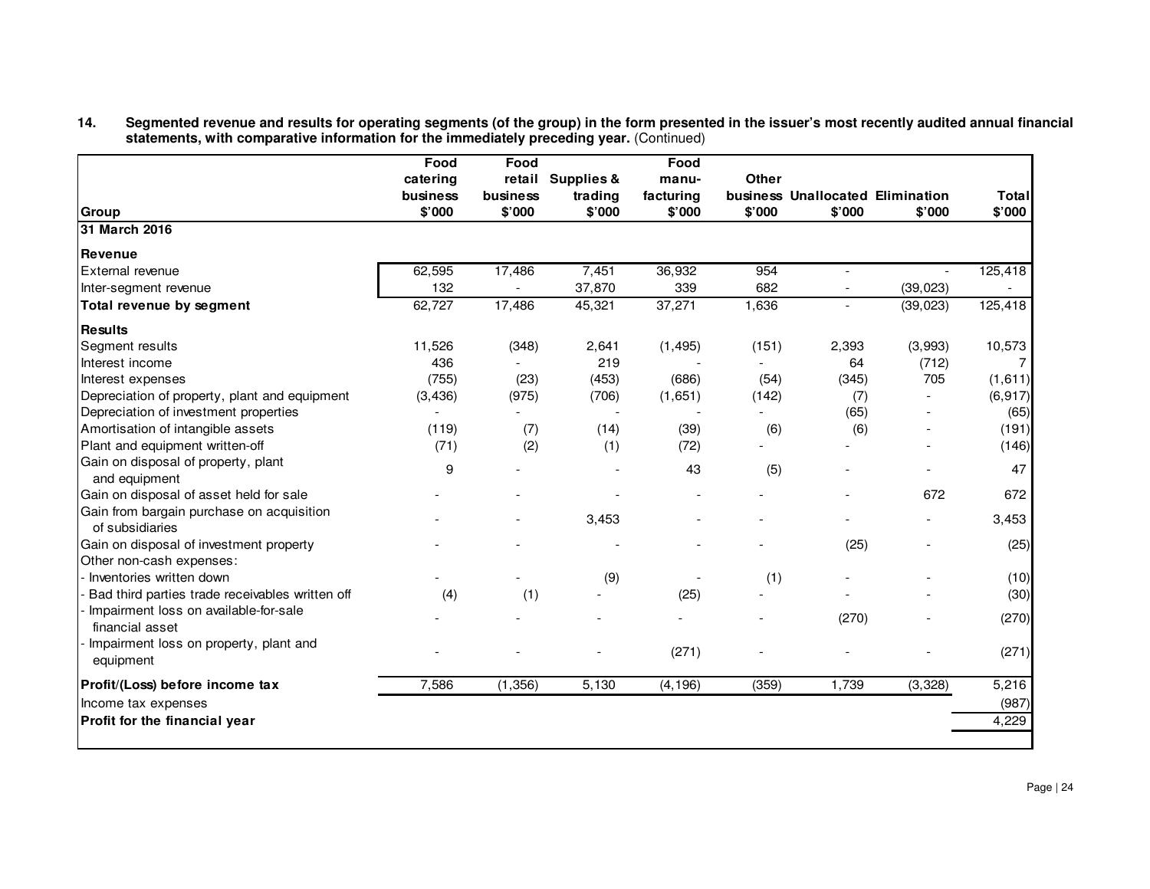# 14. Segmented revenue and results for operating segments (of the group) in the form presented in the issuer's most recently audited annual financial<br>statements, with comparative information for the immediately precedi

|                                                                     | Food     | Food     |                   | Food      |              |                                  |                          |              |
|---------------------------------------------------------------------|----------|----------|-------------------|-----------|--------------|----------------------------------|--------------------------|--------------|
|                                                                     | catering |          | retail Supplies & | manu-     | <b>Other</b> |                                  |                          |              |
|                                                                     | business | business | trading           | facturing |              | business Unallocated Elimination |                          | <b>Total</b> |
| Group                                                               | \$'000   | \$'000   | \$'000            | \$'000    | \$'000       | \$'000                           | \$'000                   | \$'000       |
| 31 March 2016                                                       |          |          |                   |           |              |                                  |                          |              |
| Revenue                                                             |          |          |                   |           |              |                                  |                          |              |
| External revenue                                                    | 62,595   | 17,486   | 7,451             | 36,932    | 954          | $\overline{a}$                   |                          | 125,418      |
| Inter-segment revenue                                               | 132      |          | 37,870            | 339       | 682          |                                  | (39, 023)                |              |
| Total revenue by segment                                            | 62,727   | 17,486   | 45,321            | 37,271    | 1,636        | $\overline{a}$                   | (39, 023)                | 125,418      |
| <b>Results</b>                                                      |          |          |                   |           |              |                                  |                          |              |
| Segment results                                                     | 11,526   | (348)    | 2,641             | (1, 495)  | (151)        | 2,393                            | (3,993)                  | 10,573       |
| Interest income                                                     | 436      |          | 219               |           |              | 64                               | (712)                    | 7            |
| Interest expenses                                                   | (755)    | (23)     | (453)             | (686)     | (54)         | (345)                            | 705                      | (1,611)      |
| Depreciation of property, plant and equipment                       | (3, 436) | (975)    | (706)             | (1,651)   | (142)        | (7)                              |                          | (6, 917)     |
| Depreciation of investment properties                               |          |          |                   |           |              | (65)                             |                          | (65)         |
| Amortisation of intangible assets                                   | (119)    | (7)      | (14)              | (39)      | (6)          | (6)                              |                          | (191)        |
| Plant and equipment written-off                                     | (71)     | (2)      | (1)               | (72)      |              |                                  |                          | (146)        |
| Gain on disposal of property, plant<br>and equipment                | 9        |          |                   | 43        | (5)          |                                  |                          | 47           |
| Gain on disposal of asset held for sale                             |          |          |                   |           |              |                                  | 672                      | 672          |
| Gain from bargain purchase on acquisition<br>of subsidiaries        |          |          | 3,453             |           |              |                                  | $\overline{\phantom{a}}$ | 3,453        |
| Gain on disposal of investment property<br>Other non-cash expenses: |          |          |                   |           |              | (25)                             |                          | (25)         |
| Inventories written down                                            |          |          | (9)               |           | (1)          |                                  |                          | (10)         |
| Bad third parties trade receivables written off                     | (4)      | (1)      |                   | (25)      |              |                                  |                          | (30)         |
| Impairment loss on available-for-sale<br>financial asset            |          |          |                   |           |              | (270)                            |                          | (270)        |
| Impairment loss on property, plant and<br>equipment                 |          |          |                   | (271)     |              |                                  |                          | (271)        |
| Profit/(Loss) before income tax                                     | 7,586    | (1,356)  | 5,130             | (4, 196)  | (359)        | 1,739                            | (3,328)                  | 5,216        |
| Income tax expenses                                                 |          |          |                   |           |              |                                  |                          | (987)        |
| Profit for the financial year                                       |          |          |                   |           |              |                                  |                          | 4,229        |
|                                                                     |          |          |                   |           |              |                                  |                          |              |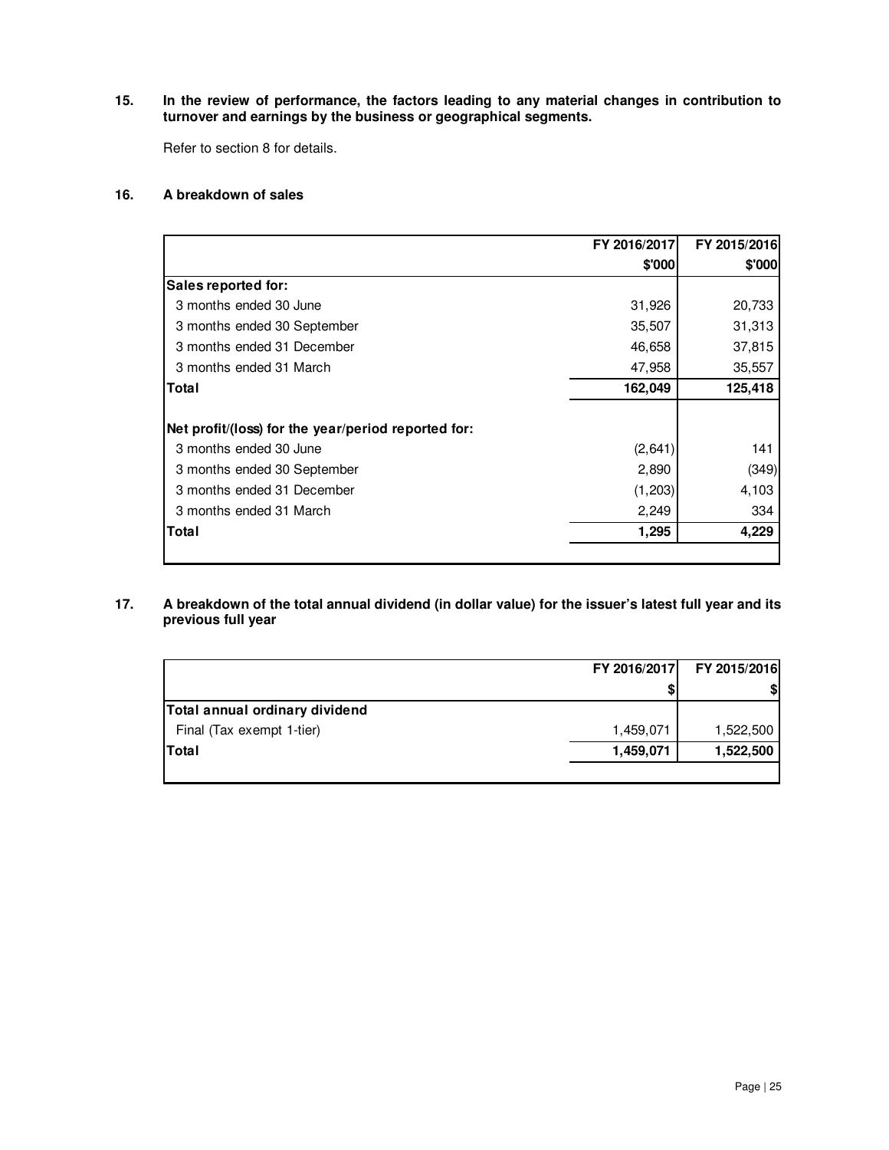# **15. In the review of performance, the factors leading to any material changes in contribution to turnover and earnings by the business or geographical segments.**

Refer to section 8 for details.

# **16. A breakdown of sales**

|                                                     | FY 2016/2017 | FY 2015/2016 |
|-----------------------------------------------------|--------------|--------------|
|                                                     | \$'000       | \$'000       |
| Sales reported for:                                 |              |              |
| 3 months ended 30 June                              | 31,926       | 20,733       |
| 3 months ended 30 September                         | 35,507       | 31,313       |
| 3 months ended 31 December                          | 46,658       | 37,815       |
| 3 months ended 31 March                             | 47,958       | 35,557       |
| Total                                               | 162,049      | 125,418      |
| Net profit/(loss) for the year/period reported for: |              |              |
| 3 months ended 30 June                              | (2,641)      | 141          |
| 3 months ended 30 September                         | 2,890        | (349)        |
| 3 months ended 31 December                          | (1,203)      | 4,103        |
| 3 months ended 31 March                             | 2,249        | 334          |
| Total                                               | 1,295        | 4,229        |
|                                                     |              |              |

# **17. A breakdown of the total annual dividend (in dollar value) for the issuer's latest full year and its previous full year**

|                                | FY 2016/2017 | FY 2015/2016 |
|--------------------------------|--------------|--------------|
|                                |              | \$           |
| Total annual ordinary dividend |              |              |
| Final (Tax exempt 1-tier)      | 1,459,071    | 1,522,500    |
| Total                          | 1,459,071    | 1,522,500    |
|                                |              |              |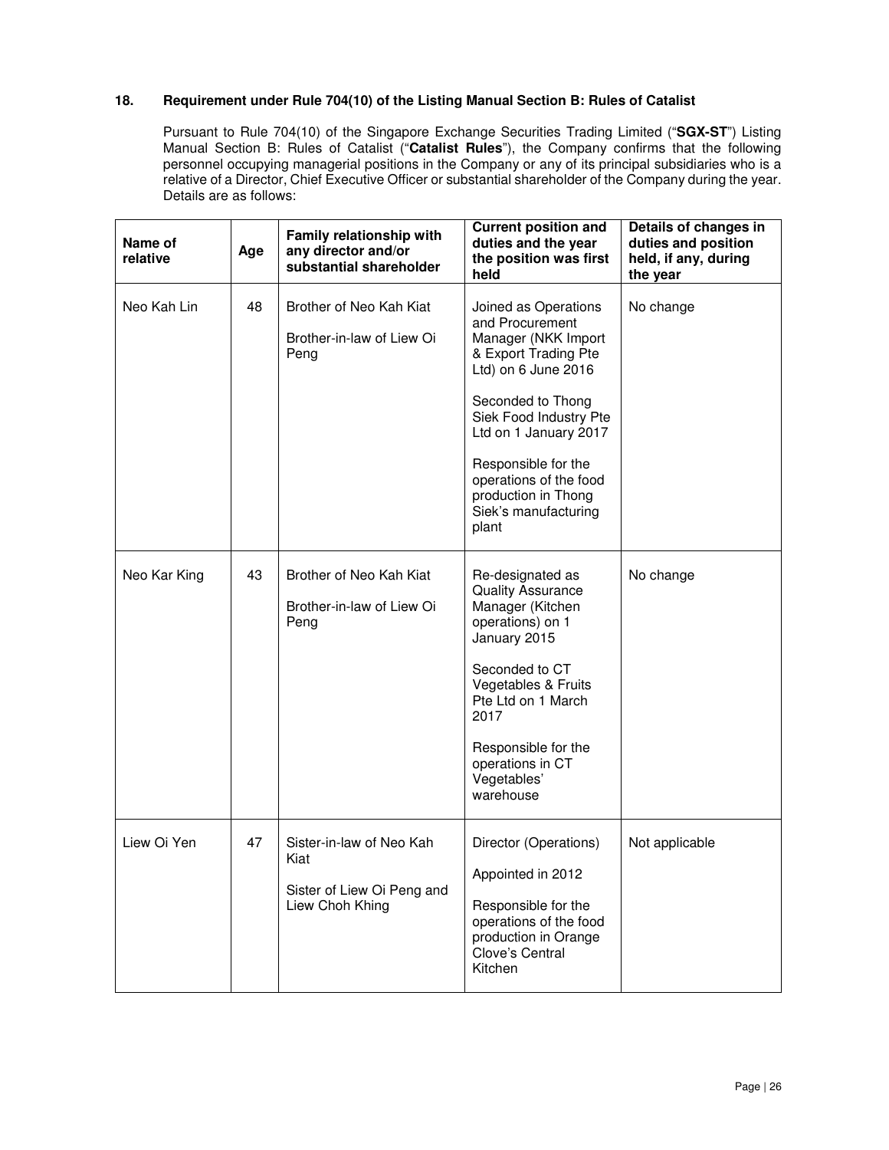# **18. Requirement under Rule 704(10) of the Listing Manual Section B: Rules of Catalist**

Pursuant to Rule 704(10) of the Singapore Exchange Securities Trading Limited ("**SGX-ST**") Listing Manual Section B: Rules of Catalist ("**Catalist Rules**"), the Company confirms that the following personnel occupying managerial positions in the Company or any of its principal subsidiaries who is a relative of a Director, Chief Executive Officer or substantial shareholder of the Company during the year. Details are as follows:

| Name of<br>relative | Age | Family relationship with<br>any director and/or<br>substantial shareholder        | <b>Current position and</b><br>duties and the year<br>the position was first<br>held                                                                                                                                                                                                           | Details of changes in<br>duties and position<br>held, if any, during<br>the year |
|---------------------|-----|-----------------------------------------------------------------------------------|------------------------------------------------------------------------------------------------------------------------------------------------------------------------------------------------------------------------------------------------------------------------------------------------|----------------------------------------------------------------------------------|
| Neo Kah Lin         | 48  | Brother of Neo Kah Kiat<br>Brother-in-law of Liew Oi<br>Peng                      | Joined as Operations<br>and Procurement<br>Manager (NKK Import<br>& Export Trading Pte<br>Ltd) on 6 June 2016<br>Seconded to Thong<br>Siek Food Industry Pte<br>Ltd on 1 January 2017<br>Responsible for the<br>operations of the food<br>production in Thong<br>Siek's manufacturing<br>plant | No change                                                                        |
| Neo Kar King        | 43  | Brother of Neo Kah Kiat<br>Brother-in-law of Liew Oi<br>Peng                      | Re-designated as<br><b>Quality Assurance</b><br>Manager (Kitchen<br>operations) on 1<br>January 2015<br>Seconded to CT<br>Vegetables & Fruits<br>Pte Ltd on 1 March<br>2017<br>Responsible for the<br>operations in CT<br>Vegetables'<br>warehouse                                             | No change                                                                        |
| Liew Oi Yen         | 47  | Sister-in-law of Neo Kah<br>Kiat<br>Sister of Liew Oi Peng and<br>Liew Choh Khing | Director (Operations)<br>Appointed in 2012<br>Responsible for the<br>operations of the food<br>production in Orange<br>Clove's Central<br>Kitchen                                                                                                                                              | Not applicable                                                                   |